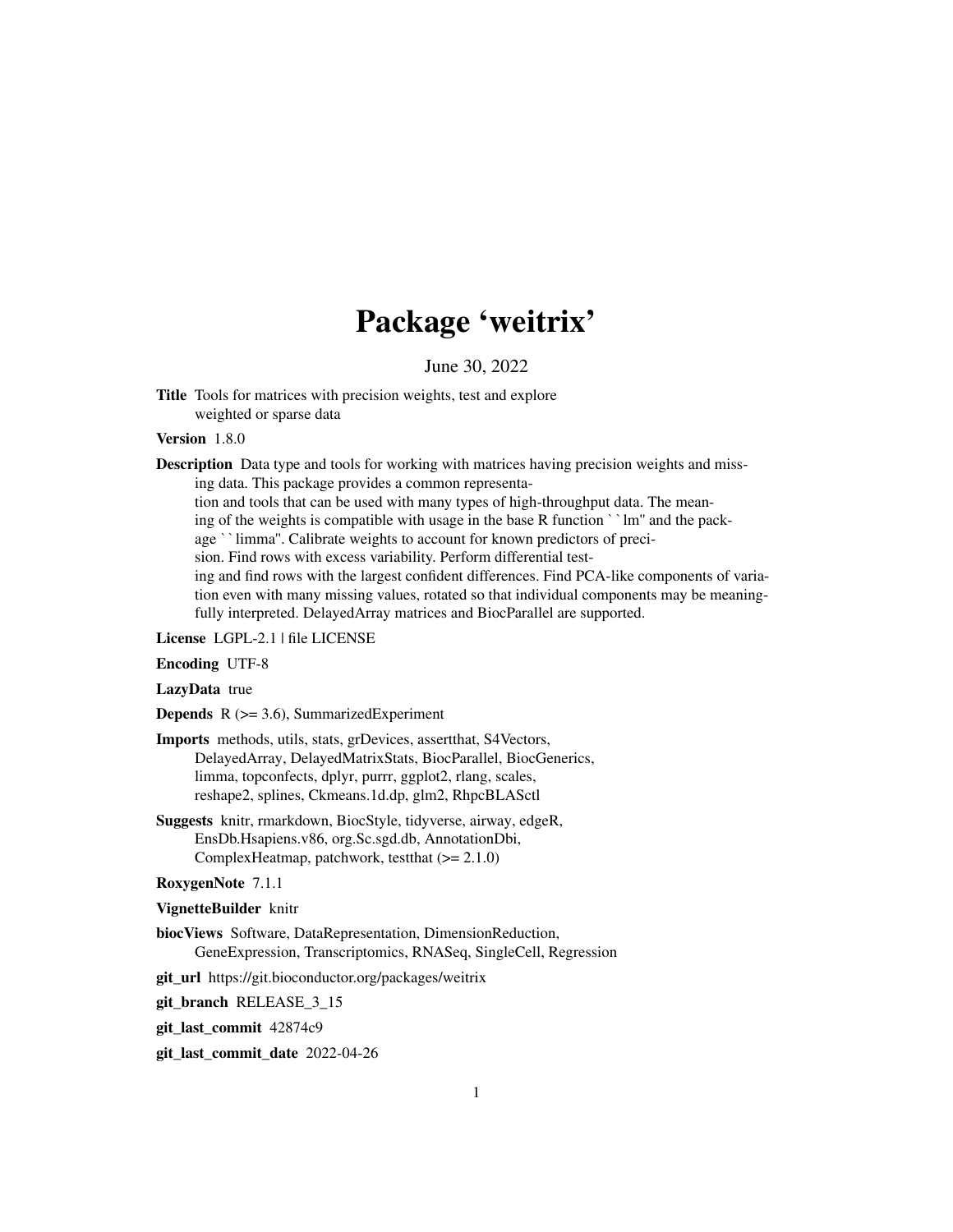# Package 'weitrix'

June 30, 2022

<span id="page-0-0"></span>Title Tools for matrices with precision weights, test and explore weighted or sparse data

#### Version 1.8.0

**Description** Data type and tools for working with matrices having precision weights and missing data. This package provides a common representation and tools that can be used with many types of high-throughput data. The meaning of the weights is compatible with usage in the base R function ``lm'' and the package ``limma''. Calibrate weights to account for known predictors of precision. Find rows with excess variability. Perform differential testing and find rows with the largest confident differences. Find PCA-like components of varia-

tion even with many missing values, rotated so that individual components may be meaningfully interpreted. DelayedArray matrices and BiocParallel are supported.

License LGPL-2.1 | file LICENSE

Encoding UTF-8

LazyData true

**Depends**  $R$  ( $>= 3.6$ ), SummarizedExperiment

# Imports methods, utils, stats, grDevices, assertthat, S4Vectors, DelayedArray, DelayedMatrixStats, BiocParallel, BiocGenerics, limma, topconfects, dplyr, purrr, ggplot2, rlang, scales, reshape2, splines, Ckmeans.1d.dp, glm2, RhpcBLASctl

Suggests knitr, rmarkdown, BiocStyle, tidyverse, airway, edgeR, EnsDb.Hsapiens.v86, org.Sc.sgd.db, AnnotationDbi, ComplexHeatmap, patchwork, testthat (>= 2.1.0)

# RoxygenNote 7.1.1

# VignetteBuilder knitr

- biocViews Software, DataRepresentation, DimensionReduction, GeneExpression, Transcriptomics, RNASeq, SingleCell, Regression
- git\_url https://git.bioconductor.org/packages/weitrix
- git branch RELEASE 3 15
- git\_last\_commit 42874c9
- git\_last\_commit\_date 2022-04-26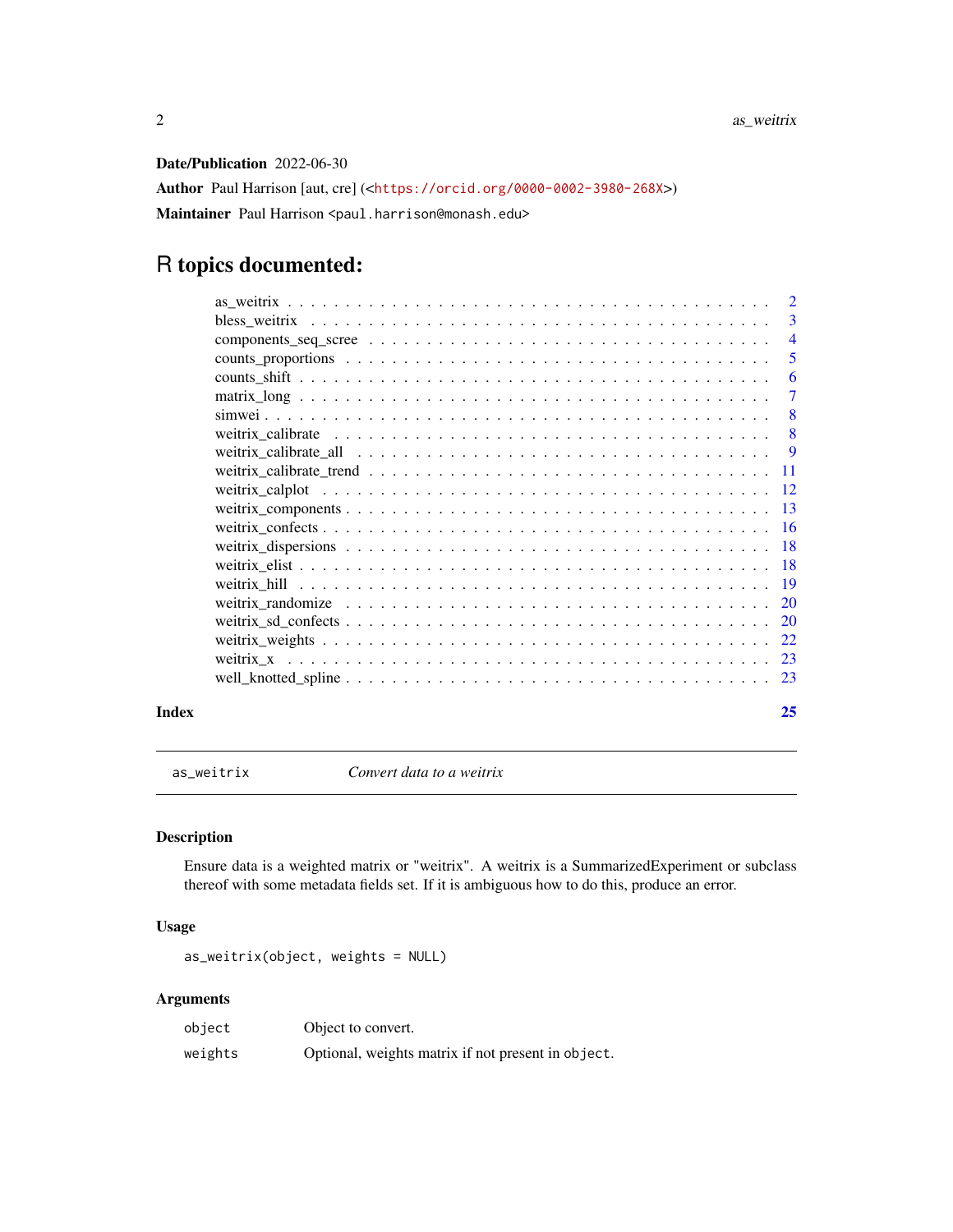<span id="page-1-0"></span>Date/Publication 2022-06-30

Author Paul Harrison [aut, cre] (<<https://orcid.org/0000-0002-3980-268X>>) Maintainer Paul Harrison <paul.harrison@monash.edu>

# R topics documented:

|       | $\overline{7}$ |
|-------|----------------|
|       |                |
|       |                |
|       |                |
|       |                |
|       |                |
|       |                |
|       |                |
|       |                |
|       |                |
|       |                |
|       |                |
|       |                |
|       |                |
|       |                |
|       |                |
| Index | 25             |

as\_weitrix *Convert data to a weitrix*

# Description

Ensure data is a weighted matrix or "weitrix". A weitrix is a SummarizedExperiment or subclass thereof with some metadata fields set. If it is ambiguous how to do this, produce an error.

# Usage

as\_weitrix(object, weights = NULL)

| object  | Object to convert.                                 |
|---------|----------------------------------------------------|
| weights | Optional, weights matrix if not present in object. |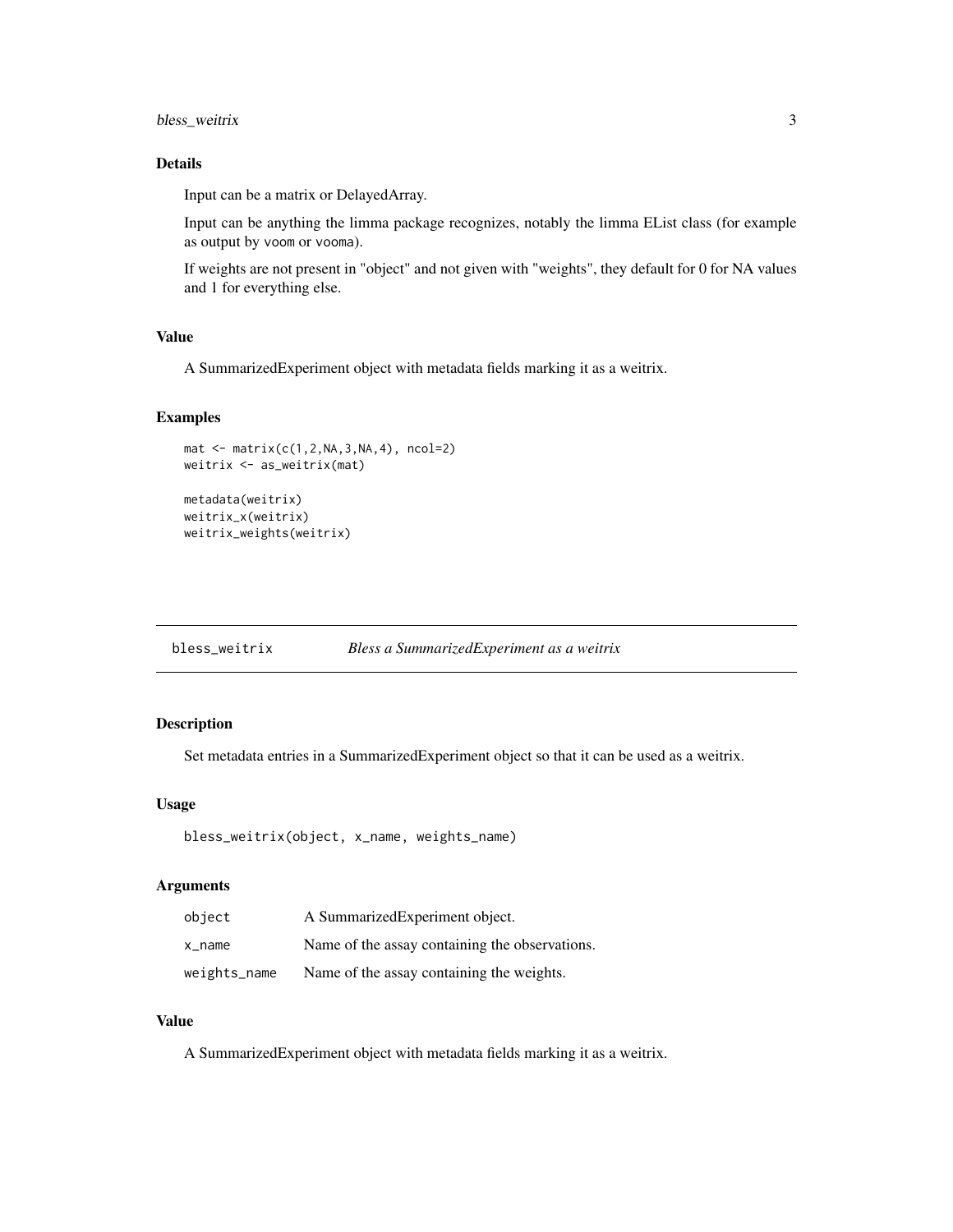# <span id="page-2-0"></span>bless\_weitrix 3

# Details

Input can be a matrix or DelayedArray.

Input can be anything the limma package recognizes, notably the limma EList class (for example as output by voom or vooma).

If weights are not present in "object" and not given with "weights", they default for 0 for NA values and 1 for everything else.

# Value

A SummarizedExperiment object with metadata fields marking it as a weitrix.

#### Examples

```
mat <- matrix(c(1,2,NA,3,NA,4), ncol=2)
weitrix <- as_weitrix(mat)
metadata(weitrix)
weitrix_x(weitrix)
weitrix_weights(weitrix)
```

| bless_weitrix | Bless a SummarizedExperiment as a weitrix |  |
|---------------|-------------------------------------------|--|
|---------------|-------------------------------------------|--|

# Description

Set metadata entries in a SummarizedExperiment object so that it can be used as a weitrix.

# Usage

```
bless_weitrix(object, x_name, weights_name)
```
# Arguments

| object       | A SummarizedExperiment object.                 |
|--------------|------------------------------------------------|
| x_name       | Name of the assay containing the observations. |
| weights_name | Name of the assay containing the weights.      |

#### Value

A SummarizedExperiment object with metadata fields marking it as a weitrix.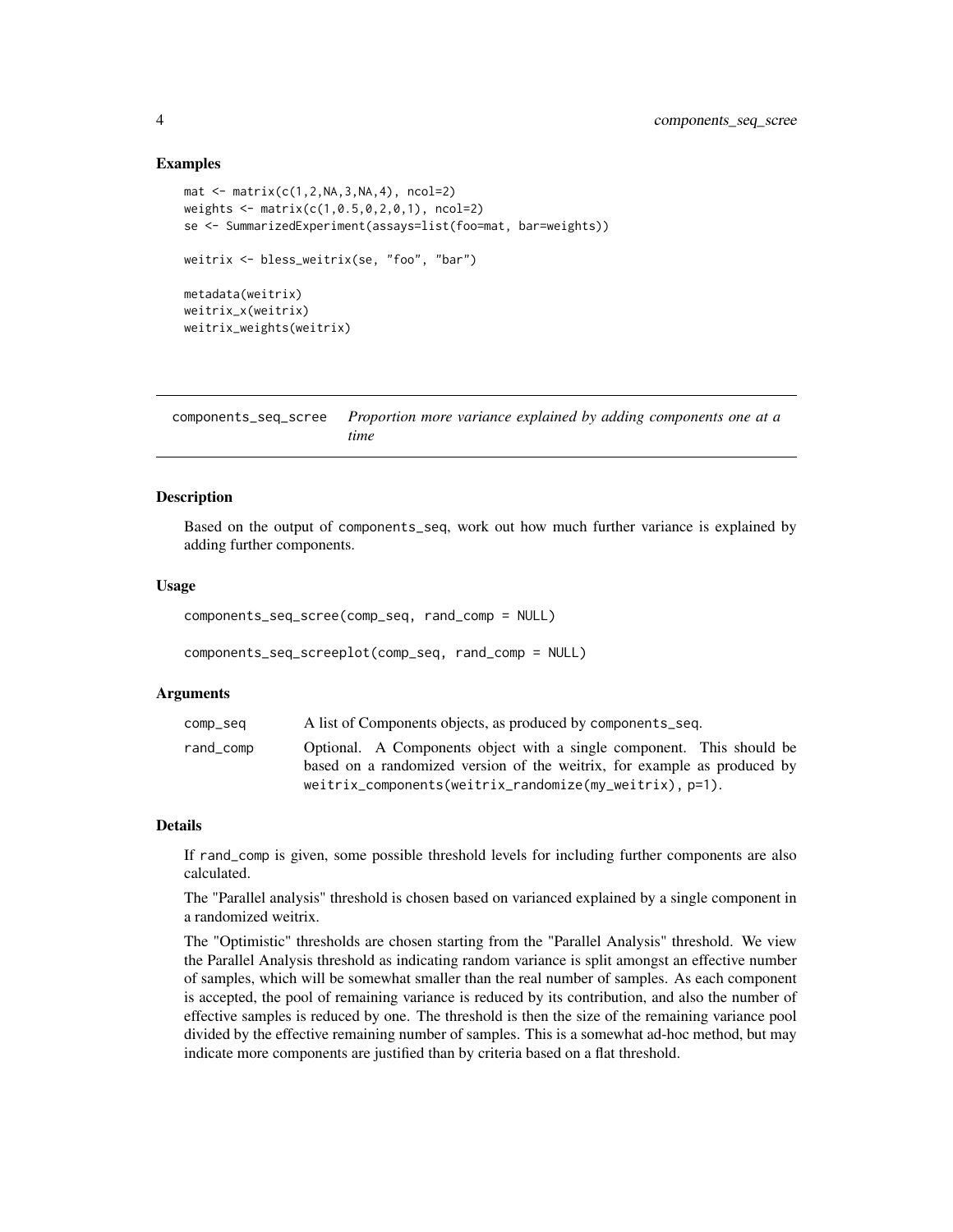#### Examples

```
mat < -matrix(c(1, 2, NA, 3, NA, 4), ncol=2)weights \leq matrix(c(1,0.5,0,2,0,1), ncol=2)
se <- SummarizedExperiment(assays=list(foo=mat, bar=weights))
weitrix <- bless_weitrix(se, "foo", "bar")
metadata(weitrix)
weitrix_x(weitrix)
weitrix_weights(weitrix)
```
components\_seq\_scree *Proportion more variance explained by adding components one at a time*

#### <span id="page-3-1"></span>Description

Based on the output of components\_seq, work out how much further variance is explained by adding further components.

#### Usage

```
components_seq_scree(comp_seq, rand_comp = NULL)
```

```
components_seq_screeplot(comp_seq, rand_comp = NULL)
```
# Arguments

| comp_seq  | A list of Components objects, as produced by components_seq.                                                                        |
|-----------|-------------------------------------------------------------------------------------------------------------------------------------|
| rand_comp | Optional. A Components object with a single component. This should be                                                               |
|           | based on a randomized version of the weitrix, for example as produced by<br>weitrix_components(weitrix_randomize(my_weitrix), p=1). |
|           |                                                                                                                                     |

#### Details

If rand\_comp is given, some possible threshold levels for including further components are also calculated.

The "Parallel analysis" threshold is chosen based on varianced explained by a single component in a randomized weitrix.

The "Optimistic" thresholds are chosen starting from the "Parallel Analysis" threshold. We view the Parallel Analysis threshold as indicating random variance is split amongst an effective number of samples, which will be somewhat smaller than the real number of samples. As each component is accepted, the pool of remaining variance is reduced by its contribution, and also the number of effective samples is reduced by one. The threshold is then the size of the remaining variance pool divided by the effective remaining number of samples. This is a somewhat ad-hoc method, but may indicate more components are justified than by criteria based on a flat threshold.

<span id="page-3-0"></span>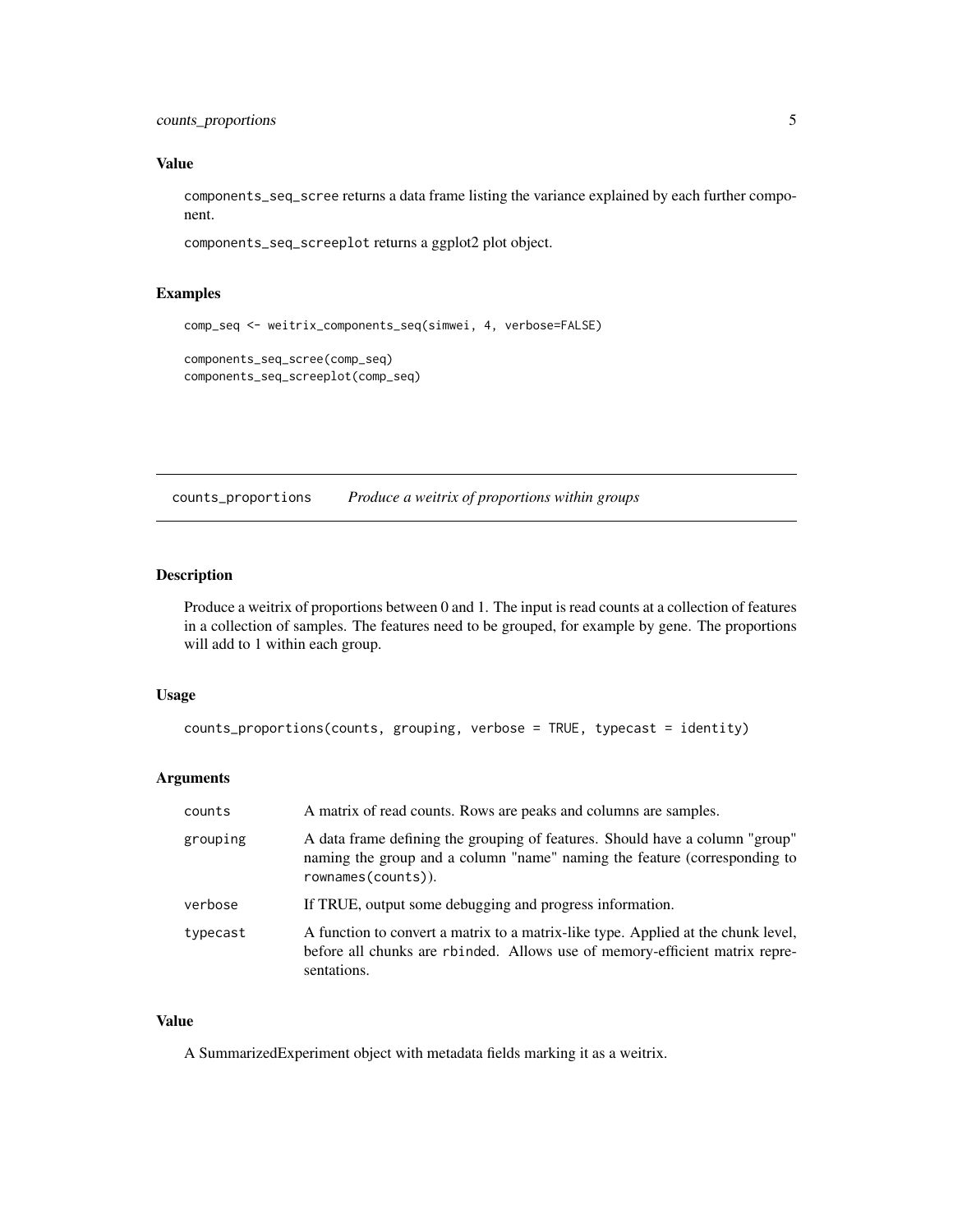<span id="page-4-0"></span>counts\_proportions 5

#### Value

components\_seq\_scree returns a data frame listing the variance explained by each further component.

components\_seq\_screeplot returns a ggplot2 plot object.

# Examples

```
comp_seq <- weitrix_components_seq(simwei, 4, verbose=FALSE)
components_seq_scree(comp_seq)
components_seq_screeplot(comp_seq)
```
counts\_proportions *Produce a weitrix of proportions within groups*

# Description

Produce a weitrix of proportions between 0 and 1. The input is read counts at a collection of features in a collection of samples. The features need to be grouped, for example by gene. The proportions will add to 1 within each group.

# Usage

```
counts_proportions(counts, grouping, verbose = TRUE, typecast = identity)
```
# Arguments

| counts   | A matrix of read counts. Rows are peaks and columns are samples.                                                                                                                |
|----------|---------------------------------------------------------------------------------------------------------------------------------------------------------------------------------|
| grouping | A data frame defining the grouping of features. Should have a column "group"<br>naming the group and a column "name" naming the feature (corresponding to<br>rownames(counts)). |
| verbose  | If TRUE, output some debugging and progress information.                                                                                                                        |
| typecast | A function to convert a matrix to a matrix-like type. Applied at the chunk level,<br>before all chunks are rbinded. Allows use of memory-efficient matrix repre-<br>sentations. |

# Value

A SummarizedExperiment object with metadata fields marking it as a weitrix.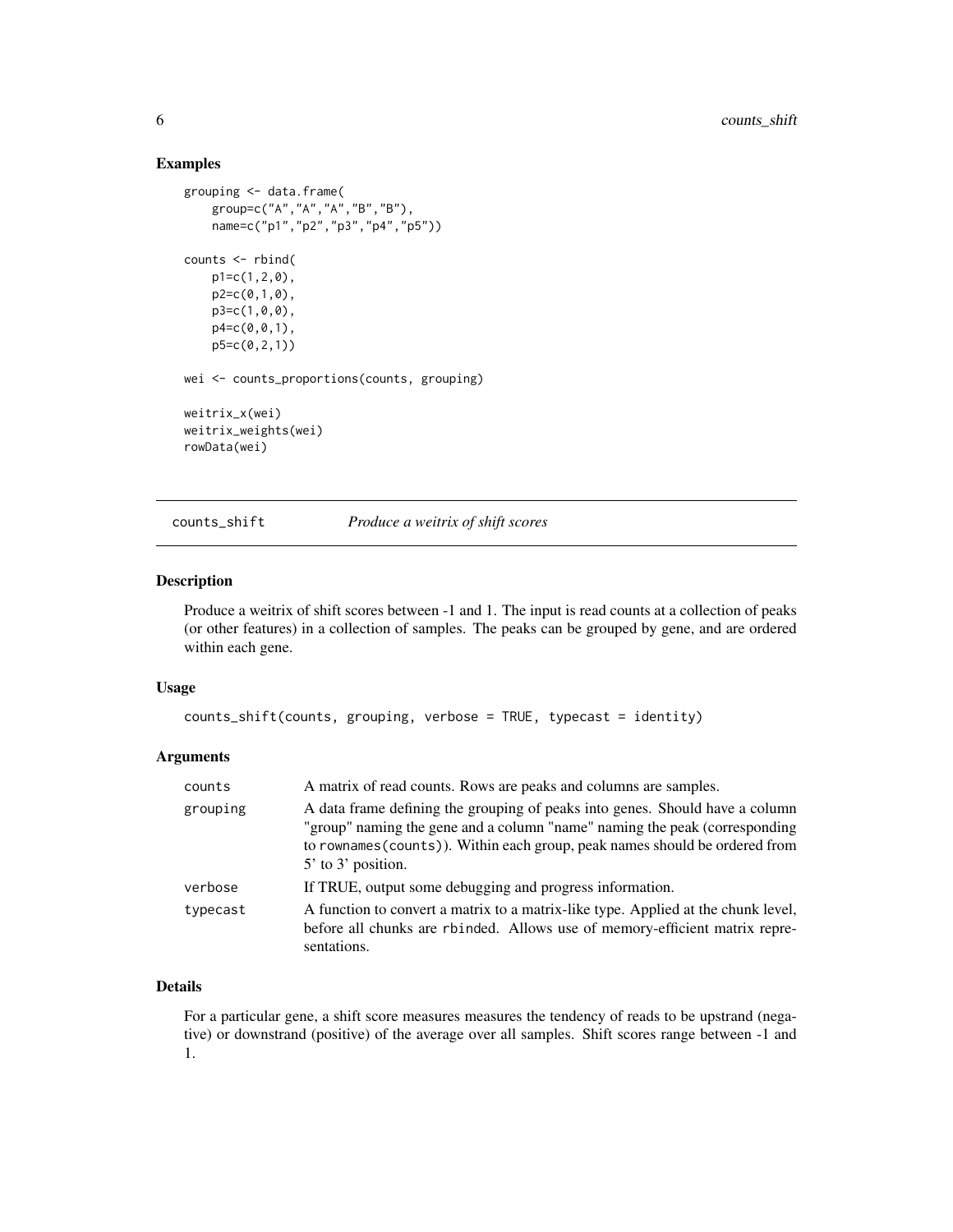#### Examples

```
grouping <- data.frame(
   group=c("A","A","A","B","B"),
   name=c("p1","p2","p3","p4","p5"))
counts <- rbind(
   p1=c(1,2,0),
   p2=c(0,1,0),
   p3=c(1,0,0),
   p4 = c(0, 0, 1),p5=c(0,2,1))
wei <- counts_proportions(counts, grouping)
weitrix_x(wei)
weitrix_weights(wei)
rowData(wei)
```
counts\_shift *Produce a weitrix of shift scores*

# Description

Produce a weitrix of shift scores between -1 and 1. The input is read counts at a collection of peaks (or other features) in a collection of samples. The peaks can be grouped by gene, and are ordered within each gene.

#### Usage

```
counts_shift(counts, grouping, verbose = TRUE, typecast = identity)
```
# Arguments

| counts   | A matrix of read counts. Rows are peaks and columns are samples.                                                                                                                                                                                                    |
|----------|---------------------------------------------------------------------------------------------------------------------------------------------------------------------------------------------------------------------------------------------------------------------|
| grouping | A data frame defining the grouping of peaks into genes. Should have a column<br>"group" naming the gene and a column "name" naming the peak (corresponding<br>to rownames (counts)). Within each group, peak names should be ordered from<br>$5'$ to $3'$ position. |
| verbose  | If TRUE, output some debugging and progress information.                                                                                                                                                                                                            |
| typecast | A function to convert a matrix to a matrix-like type. Applied at the chunk level,<br>before all chunks are rbinded. Allows use of memory-efficient matrix repre-<br>sentations.                                                                                     |

# Details

For a particular gene, a shift score measures measures the tendency of reads to be upstrand (negative) or downstrand (positive) of the average over all samples. Shift scores range between -1 and 1.

<span id="page-5-0"></span>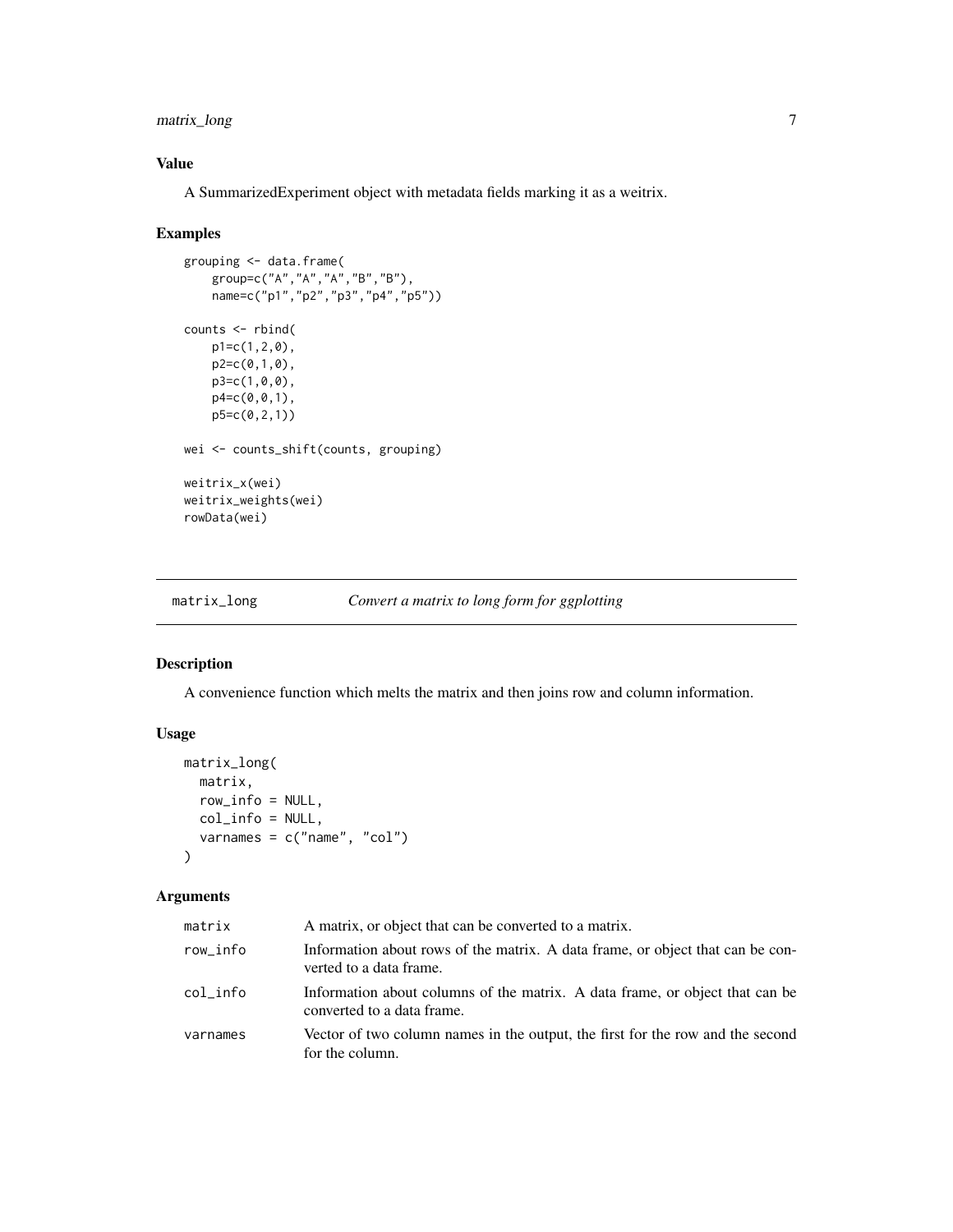# <span id="page-6-0"></span>matrix\_long 7

# Value

A SummarizedExperiment object with metadata fields marking it as a weitrix.

#### Examples

```
grouping <- data.frame(
    group=c("A","A","A","B","B"),
    name=c("p1","p2","p3","p4","p5"))
counts <- rbind(
   p1=c(1,2,0),
   p2=c(0,1,0),
   p3=c(1,0,0),
   p4=c(0,0,1),
   p5=c(0,2,1))
wei <- counts_shift(counts, grouping)
weitrix_x(wei)
weitrix_weights(wei)
rowData(wei)
```
matrix\_long *Convert a matrix to long form for ggplotting*

# Description

A convenience function which melts the matrix and then joins row and column information.

# Usage

```
matrix_long(
  matrix,
  row_info = NULL,
  col_info = NULL,
  varnames = c("name", "col")
\mathcal{L}
```

| matrix   | A matrix, or object that can be converted to a matrix.                                                     |
|----------|------------------------------------------------------------------------------------------------------------|
| row_info | Information about rows of the matrix. A data frame, or object that can be con-<br>verted to a data frame.  |
| col info | Information about columns of the matrix. A data frame, or object that can be<br>converted to a data frame. |
| varnames | Vector of two column names in the output, the first for the row and the second<br>for the column.          |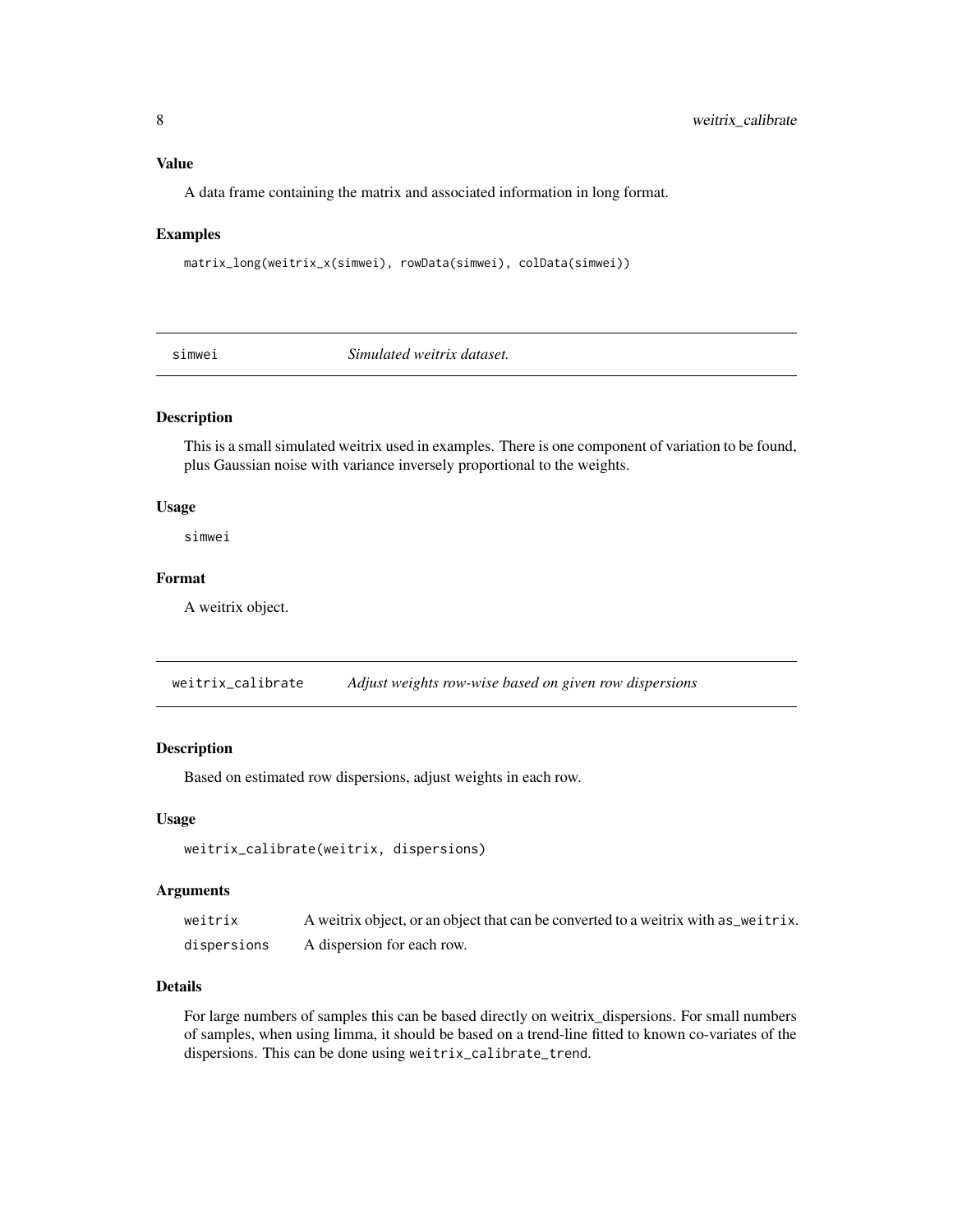# <span id="page-7-0"></span>Value

A data frame containing the matrix and associated information in long format.

#### Examples

```
matrix_long(weitrix_x(simwei), rowData(simwei), colData(simwei))
```
simwei *Simulated weitrix dataset.*

#### Description

This is a small simulated weitrix used in examples. There is one component of variation to be found, plus Gaussian noise with variance inversely proportional to the weights.

# Usage

simwei

#### Format

A weitrix object.

weitrix\_calibrate *Adjust weights row-wise based on given row dispersions*

#### Description

Based on estimated row dispersions, adjust weights in each row.

#### Usage

```
weitrix_calibrate(weitrix, dispersions)
```
#### Arguments

| weitrix     | A weitrix object, or an object that can be converted to a weitrix with as_weitrix. |
|-------------|------------------------------------------------------------------------------------|
| dispersions | A dispersion for each row.                                                         |

# Details

For large numbers of samples this can be based directly on weitrix\_dispersions. For small numbers of samples, when using limma, it should be based on a trend-line fitted to known co-variates of the dispersions. This can be done using weitrix\_calibrate\_trend.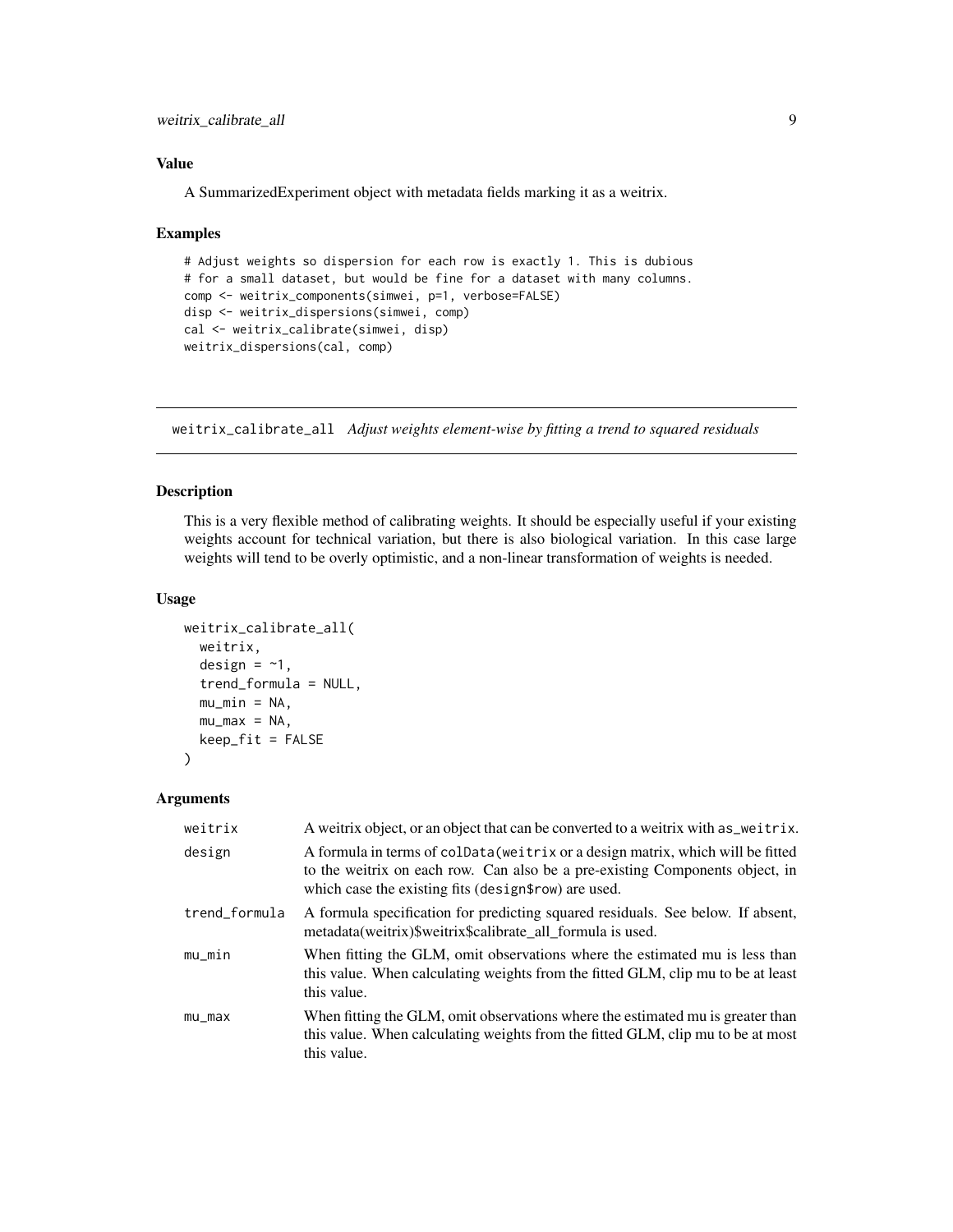<span id="page-8-0"></span>weitrix\_calibrate\_all 9

# Value

A SummarizedExperiment object with metadata fields marking it as a weitrix.

#### Examples

```
# Adjust weights so dispersion for each row is exactly 1. This is dubious
# for a small dataset, but would be fine for a dataset with many columns.
comp <- weitrix_components(simwei, p=1, verbose=FALSE)
disp <- weitrix_dispersions(simwei, comp)
cal <- weitrix_calibrate(simwei, disp)
weitrix_dispersions(cal, comp)
```
weitrix\_calibrate\_all *Adjust weights element-wise by fitting a trend to squared residuals*

# Description

This is a very flexible method of calibrating weights. It should be especially useful if your existing weights account for technical variation, but there is also biological variation. In this case large weights will tend to be overly optimistic, and a non-linear transformation of weights is needed.

# Usage

```
weitrix_calibrate_all(
  weitrix,
  design = -1,
  trend_formula = NULL,
  mu_min = NA,
 mu_max = NA,
  keep\_fit = FALSE)
```

| weitrix       | A weitrix object, or an object that can be converted to a weitrix with as weitrix.                                                                                                                                      |
|---------------|-------------------------------------------------------------------------------------------------------------------------------------------------------------------------------------------------------------------------|
| design        | A formula in terms of colData (weitrix or a design matrix, which will be fitted<br>to the weitrix on each row. Can also be a pre-existing Components object, in<br>which case the existing fits (design frow) are used. |
| trend_formula | A formula specification for predicting squared residuals. See below. If absent,<br>metadata(weitrix)\$weitrix\$calibrate_all_formula is used.                                                                           |
| $mu_m$ in     | When fitting the GLM, omit observations where the estimated mu is less than<br>this value. When calculating weights from the fitted GLM, clip mu to be at least<br>this value.                                          |
| $mu_m$        | When fitting the GLM, omit observations where the estimated mu is greater than<br>this value. When calculating weights from the fitted GLM, clip mu to be at most<br>this value.                                        |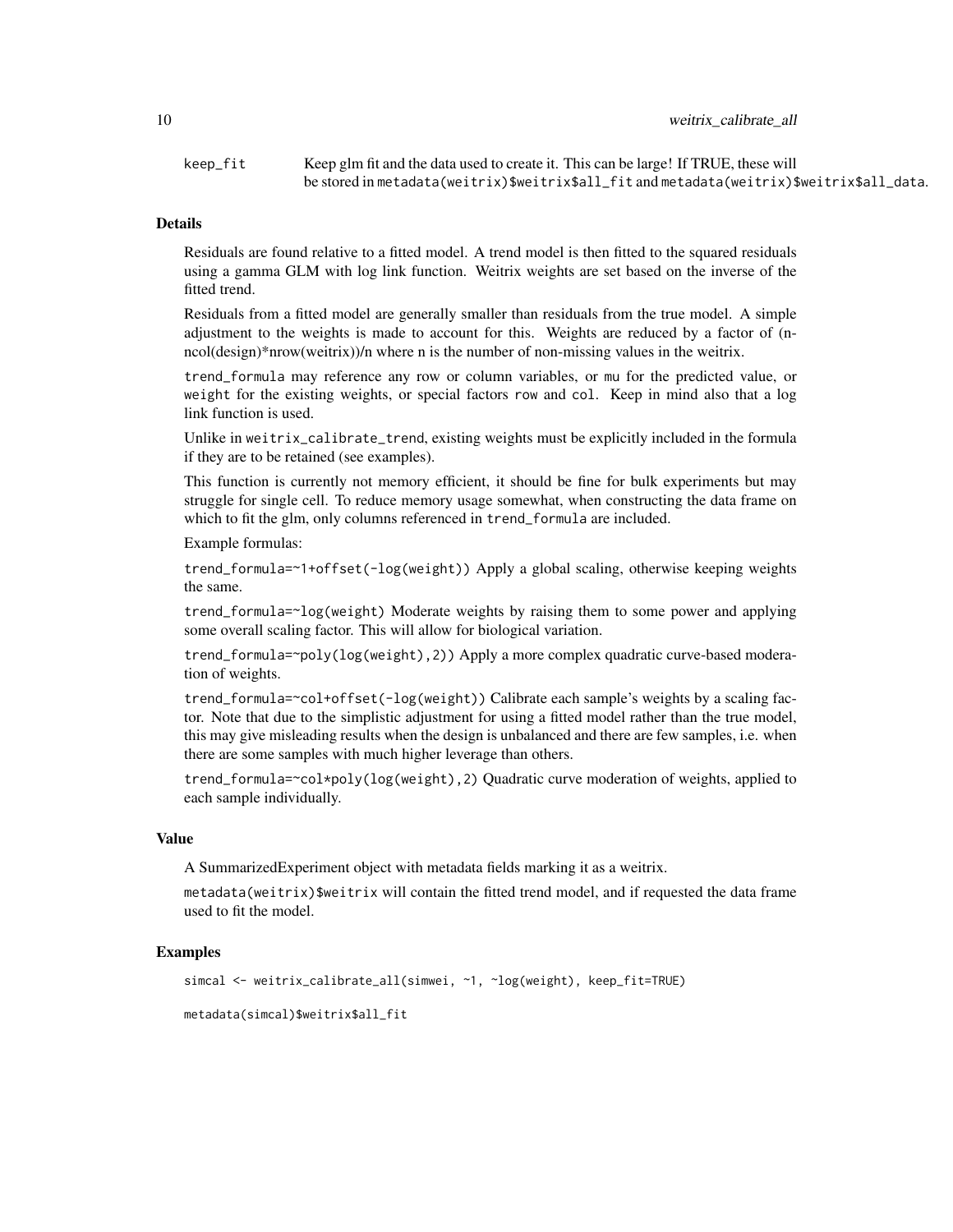# 10 weitrix\_calibrate\_all

keep\_fit Keep glm fit and the data used to create it. This can be large! If TRUE, these will be stored in metadata(weitrix)\$weitrix\$all\_fit and metadata(weitrix)\$weitrix\$all\_data.

# Details

Residuals are found relative to a fitted model. A trend model is then fitted to the squared residuals using a gamma GLM with log link function. Weitrix weights are set based on the inverse of the fitted trend.

Residuals from a fitted model are generally smaller than residuals from the true model. A simple adjustment to the weights is made to account for this. Weights are reduced by a factor of (nncol(design)\*nrow(weitrix))/n where n is the number of non-missing values in the weitrix.

trend\_formula may reference any row or column variables, or mu for the predicted value, or weight for the existing weights, or special factors row and col. Keep in mind also that a log link function is used.

Unlike in weitrix\_calibrate\_trend, existing weights must be explicitly included in the formula if they are to be retained (see examples).

This function is currently not memory efficient, it should be fine for bulk experiments but may struggle for single cell. To reduce memory usage somewhat, when constructing the data frame on which to fit the glm, only columns referenced in trend\_formula are included.

Example formulas:

trend\_formula=~1+offset(-log(weight)) Apply a global scaling, otherwise keeping weights the same.

trend\_formula=~log(weight) Moderate weights by raising them to some power and applying some overall scaling factor. This will allow for biological variation.

trend\_formula=~poly(log(weight),2)) Apply a more complex quadratic curve-based moderation of weights.

trend\_formula=~col+offset(-log(weight)) Calibrate each sample's weights by a scaling factor. Note that due to the simplistic adjustment for using a fitted model rather than the true model, this may give misleading results when the design is unbalanced and there are few samples, i.e. when there are some samples with much higher leverage than others.

trend\_formula=~col\*poly(log(weight),2) Quadratic curve moderation of weights, applied to each sample individually.

# Value

A SummarizedExperiment object with metadata fields marking it as a weitrix.

metadata(weitrix)\$weitrix will contain the fitted trend model, and if requested the data frame used to fit the model.

# Examples

```
simcal <- weitrix_calibrate_all(simwei, ~1, ~log(weight), keep_fit=TRUE)
metadata(simcal)$weitrix$all_fit
```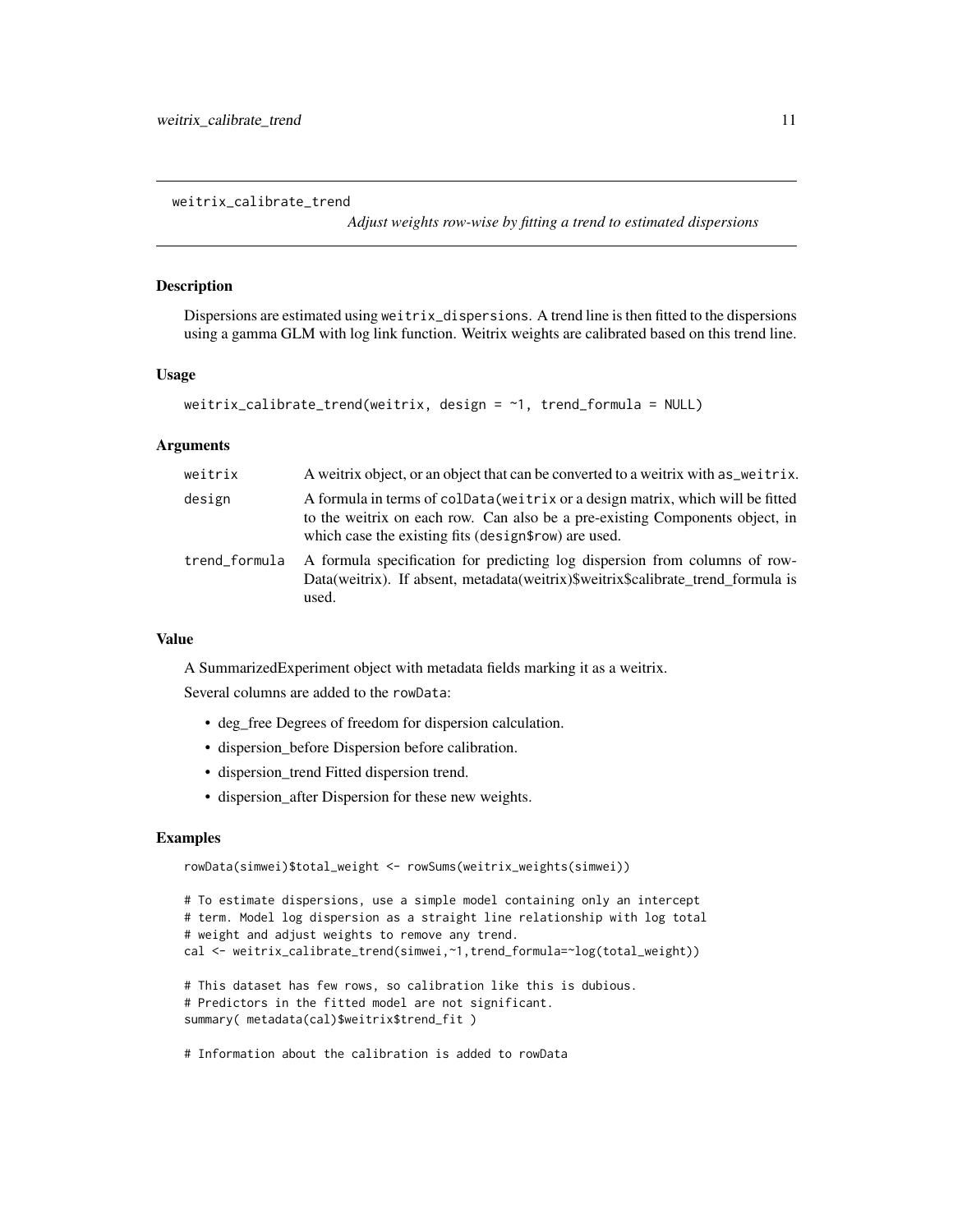<span id="page-10-0"></span>weitrix\_calibrate\_trend

*Adjust weights row-wise by fitting a trend to estimated dispersions*

#### Description

Dispersions are estimated using weitrix\_dispersions. A trend line is then fitted to the dispersions using a gamma GLM with log link function. Weitrix weights are calibrated based on this trend line.

# Usage

```
weitrix_calibrate_trend(weitrix, design = ~1, trend_formula = NULL)
```
# Arguments

| weitrix       | A weitrix object, or an object that can be converted to a weitrix with as weitrix.                                                                                                                                      |
|---------------|-------------------------------------------------------------------------------------------------------------------------------------------------------------------------------------------------------------------------|
| design        | A formula in terms of coldata (weitrix or a design matrix, which will be fitted<br>to the weitrix on each row. Can also be a pre-existing Components object, in<br>which case the existing fits (design\$row) are used. |
| trend_formula | A formula specification for predicting log dispersion from columns of row-<br>Data(weitrix). If absent, metadata(weitrix)\$weitrix\$calibrate trend formula is<br>used.                                                 |

# Value

A SummarizedExperiment object with metadata fields marking it as a weitrix.

Several columns are added to the rowData:

- deg\_free Degrees of freedom for dispersion calculation.
- dispersion\_before Dispersion before calibration.
- dispersion trend Fitted dispersion trend.
- dispersion\_after Dispersion for these new weights.

# Examples

```
rowData(simwei)$total_weight <- rowSums(weitrix_weights(simwei))
# To estimate dispersions, use a simple model containing only an intercept
# term. Model log dispersion as a straight line relationship with log total
# weight and adjust weights to remove any trend.
cal <- weitrix_calibrate_trend(simwei,~1,trend_formula=~log(total_weight))
# This dataset has few rows, so calibration like this is dubious.
# Predictors in the fitted model are not significant.
summary( metadata(cal)$weitrix$trend_fit )
```
# Information about the calibration is added to rowData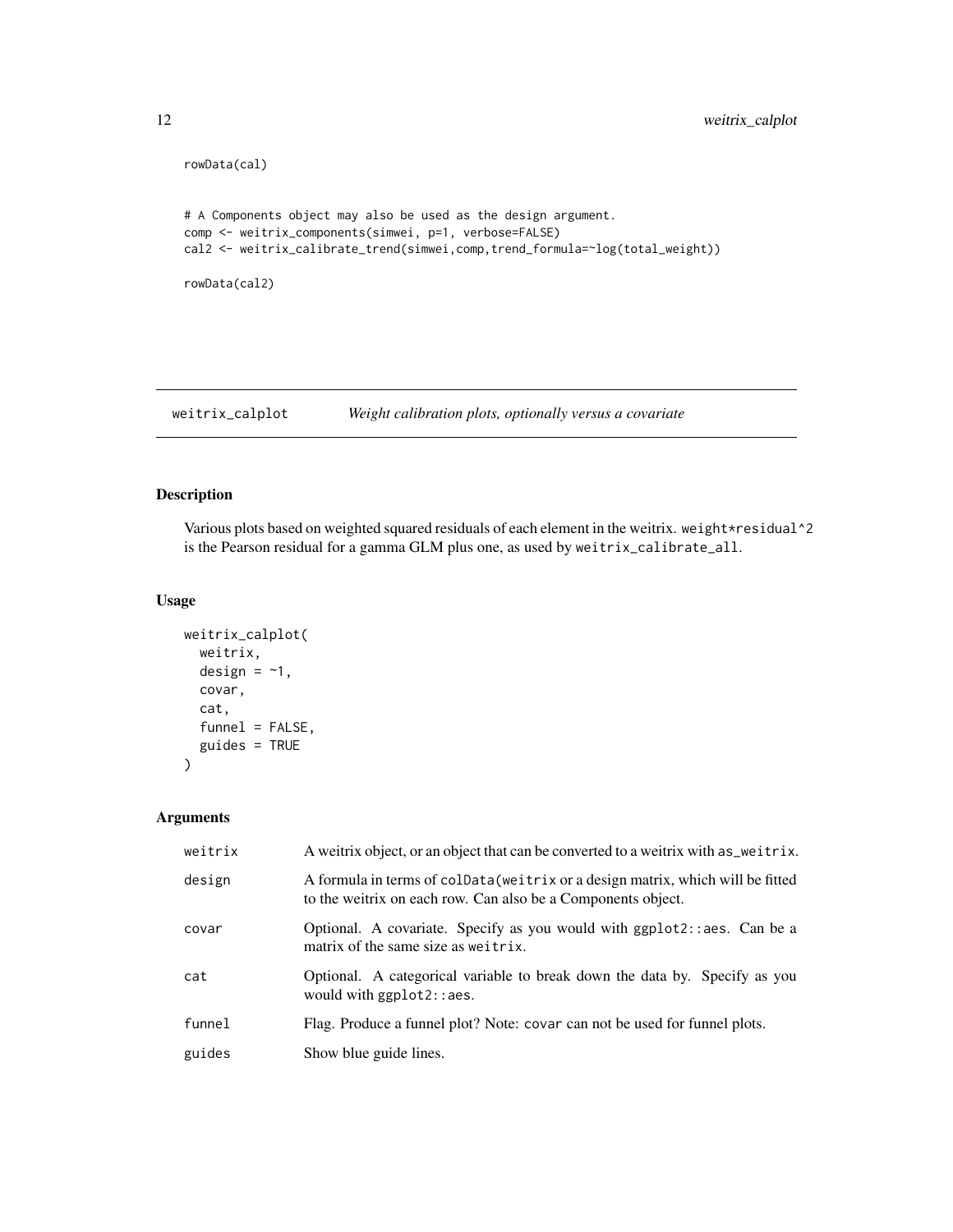```
rowData(cal)
# A Components object may also be used as the design argument.
comp <- weitrix_components(simwei, p=1, verbose=FALSE)
cal2 <- weitrix_calibrate_trend(simwei,comp,trend_formula=~log(total_weight))
rowData(cal2)
```
weitrix\_calplot *Weight calibration plots, optionally versus a covariate*

# Description

Various plots based on weighted squared residuals of each element in the weitrix. weight\*residual^2 is the Pearson residual for a gamma GLM plus one, as used by weitrix\_calibrate\_all.

# Usage

```
weitrix_calplot(
 weitrix,
 design = \sim1,
  covar,
  cat,
  funnel = FALSE,guides = TRUE
)
```

| weitrix | A weitrix object, or an object that can be converted to a weitrix with as weitrix.                                                              |
|---------|-------------------------------------------------------------------------------------------------------------------------------------------------|
| design  | A formula in terms of coldata (weitrix or a design matrix, which will be fitted<br>to the weitrix on each row. Can also be a Components object. |
| covar   | Optional. A covariate. Specify as you would with ggplot2::aes. Can be a<br>matrix of the same size as weitrix.                                  |
| cat     | Optional. A categorical variable to break down the data by. Specify as you<br>would with ggplot2::aes.                                          |
| funnel  | Flag. Produce a funnel plot? Note: covar can not be used for funnel plots.                                                                      |
| guides  | Show blue guide lines.                                                                                                                          |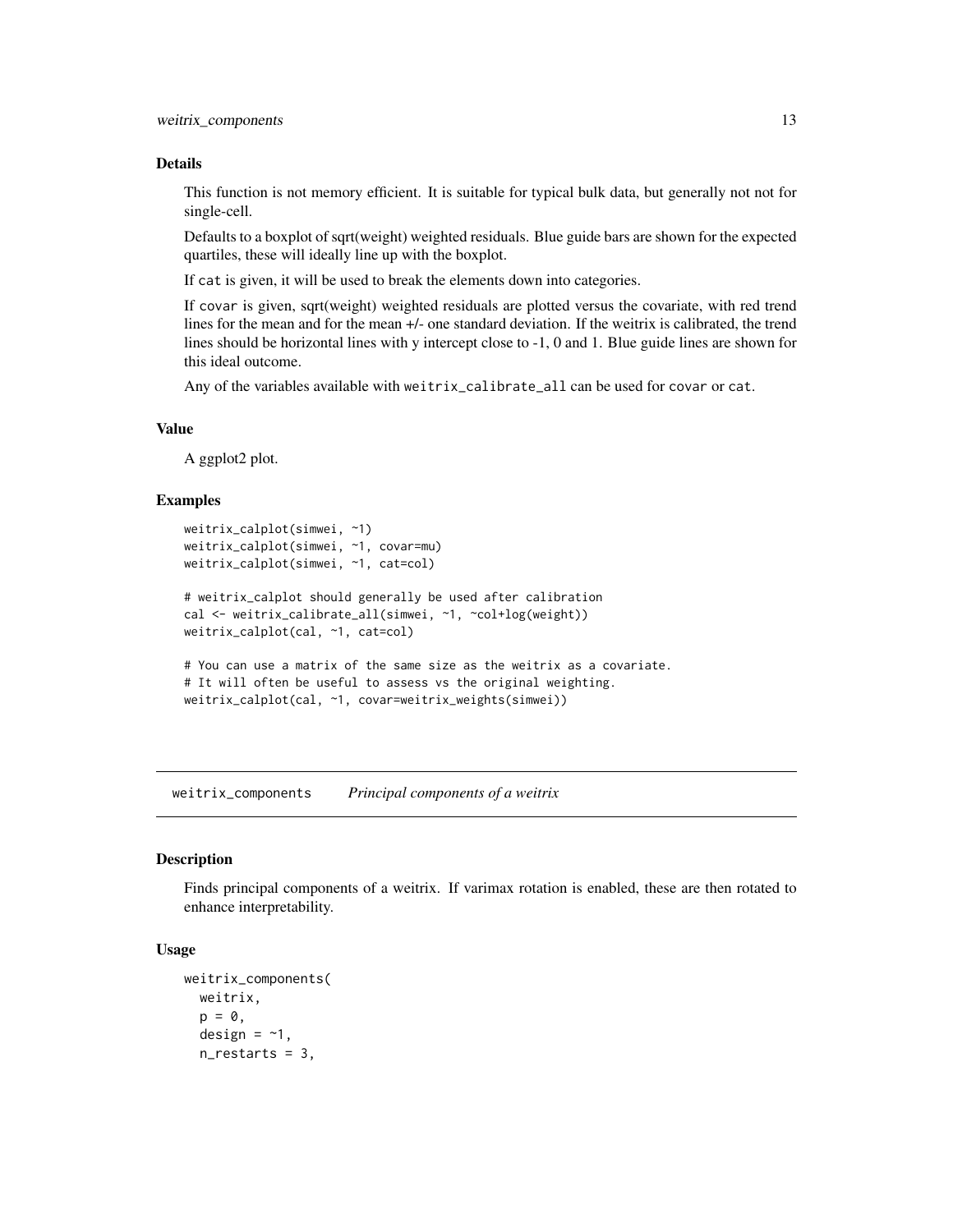#### <span id="page-12-0"></span>Details

This function is not memory efficient. It is suitable for typical bulk data, but generally not not for single-cell.

Defaults to a boxplot of sqrt(weight) weighted residuals. Blue guide bars are shown for the expected quartiles, these will ideally line up with the boxplot.

If cat is given, it will be used to break the elements down into categories.

If covar is given, sqrt(weight) weighted residuals are plotted versus the covariate, with red trend lines for the mean and for the mean +/- one standard deviation. If the weitrix is calibrated, the trend lines should be horizontal lines with y intercept close to -1, 0 and 1. Blue guide lines are shown for this ideal outcome.

Any of the variables available with weitrix\_calibrate\_all can be used for covar or cat.

# Value

A ggplot2 plot.

#### Examples

```
weitrix_calplot(simwei, ~1)
weitrix_calplot(simwei, ~1, covar=mu)
weitrix_calplot(simwei, ~1, cat=col)
# weitrix_calplot should generally be used after calibration
cal <- weitrix_calibrate_all(simwei, ~1, ~col+log(weight))
weitrix_calplot(cal, ~1, cat=col)
# You can use a matrix of the same size as the weitrix as a covariate.
# It will often be useful to assess vs the original weighting.
weitrix_calplot(cal, ~1, covar=weitrix_weights(simwei))
```
weitrix\_components *Principal components of a weitrix*

#### Description

Finds principal components of a weitrix. If varimax rotation is enabled, these are then rotated to enhance interpretability.

#### Usage

```
weitrix_components(
  weitrix,
  p = 0,
  design = -1,
  n_restarts = 3,
```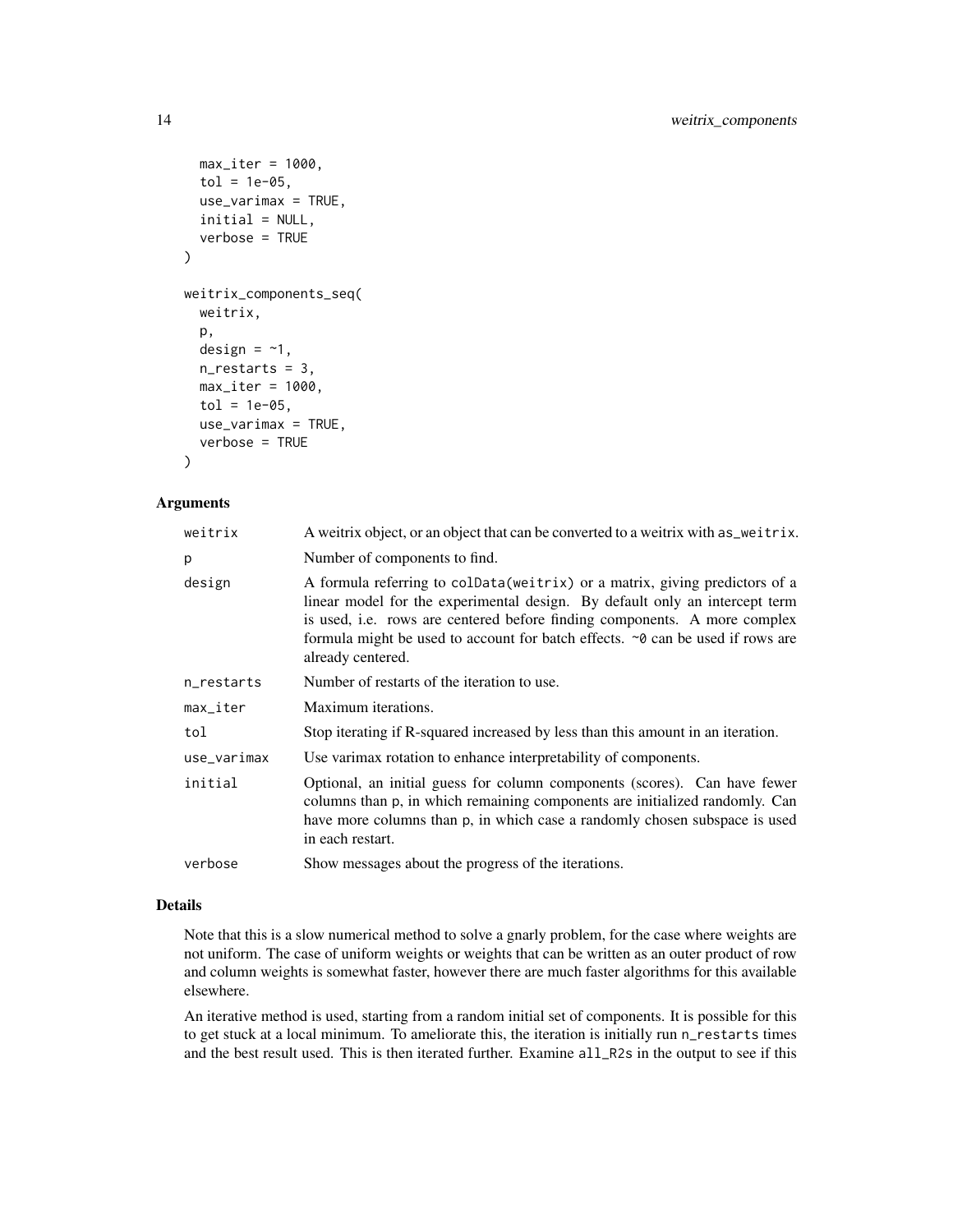```
max\_iter = 1000,
  tol = 1e-05,use\_varimax = TRUE,
  initial = NULL,
  verbose = TRUE
)
weitrix_components_seq(
  weitrix,
  p,
  design = -1,
  n_restarts = 3,
  max\_iter = 1000,
  tol = 1e-05,use_varimax = TRUE,
  verbose = TRUE
\mathcal{L}
```
# Arguments

| A weitrix object, or an object that can be converted to a weitrix with as_weitrix.                                                                                                                                                                                                                                                              |
|-------------------------------------------------------------------------------------------------------------------------------------------------------------------------------------------------------------------------------------------------------------------------------------------------------------------------------------------------|
| Number of components to find.                                                                                                                                                                                                                                                                                                                   |
| A formula referring to colData (weitrix) or a matrix, giving predictors of a<br>linear model for the experimental design. By default only an intercept term<br>is used, i.e. rows are centered before finding components. A more complex<br>formula might be used to account for batch effects. ~0 can be used if rows are<br>already centered. |
| Number of restarts of the iteration to use.                                                                                                                                                                                                                                                                                                     |
| Maximum iterations.                                                                                                                                                                                                                                                                                                                             |
| Stop iterating if R-squared increased by less than this amount in an iteration.                                                                                                                                                                                                                                                                 |
| Use varimax rotation to enhance interpretability of components.                                                                                                                                                                                                                                                                                 |
| Optional, an initial guess for column components (scores). Can have fewer<br>columns than p, in which remaining components are initialized randomly. Can<br>have more columns than p, in which case a randomly chosen subspace is used<br>in each restart.                                                                                      |
| Show messages about the progress of the iterations.                                                                                                                                                                                                                                                                                             |
|                                                                                                                                                                                                                                                                                                                                                 |

# Details

Note that this is a slow numerical method to solve a gnarly problem, for the case where weights are not uniform. The case of uniform weights or weights that can be written as an outer product of row and column weights is somewhat faster, however there are much faster algorithms for this available elsewhere.

An iterative method is used, starting from a random initial set of components. It is possible for this to get stuck at a local minimum. To ameliorate this, the iteration is initially run n\_restarts times and the best result used. This is then iterated further. Examine all\_R2s in the output to see if this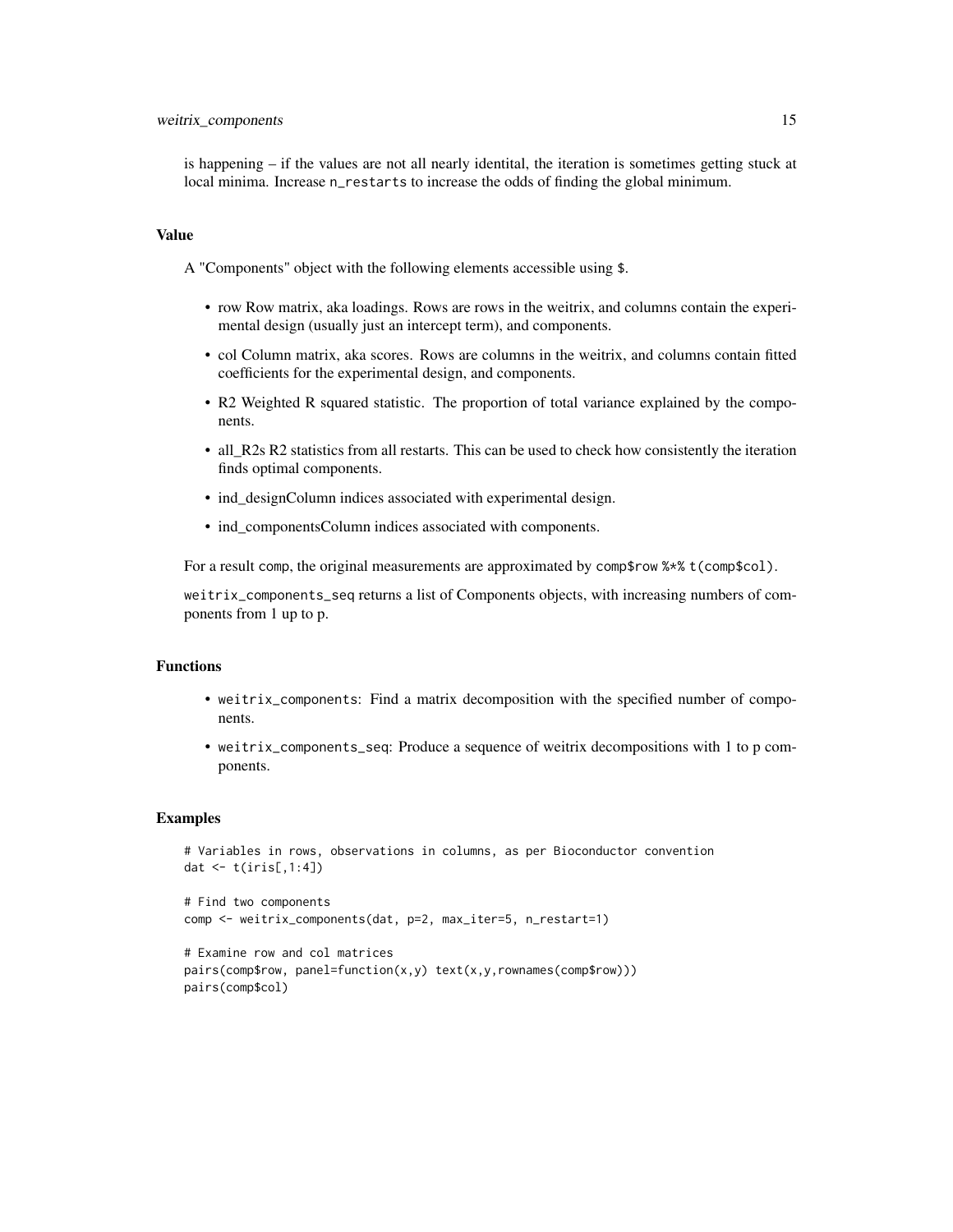is happening – if the values are not all nearly identital, the iteration is sometimes getting stuck at local minima. Increase n\_restarts to increase the odds of finding the global minimum.

#### Value

A "Components" object with the following elements accessible using \$.

- row Row matrix, aka loadings. Rows are rows in the weitrix, and columns contain the experimental design (usually just an intercept term), and components.
- col Column matrix, aka scores. Rows are columns in the weitrix, and columns contain fitted coefficients for the experimental design, and components.
- R2 Weighted R squared statistic. The proportion of total variance explained by the components.
- all\_R2s R2 statistics from all restarts. This can be used to check how consistently the iteration finds optimal components.
- ind\_designColumn indices associated with experimental design.
- ind\_componentsColumn indices associated with components.

For a result comp, the original measurements are approximated by comp\$row %\*% t(comp\$col).

weitrix\_components\_seq returns a list of Components objects, with increasing numbers of components from 1 up to p.

# Functions

- weitrix\_components: Find a matrix decomposition with the specified number of components.
- weitrix\_components\_seq: Produce a sequence of weitrix decompositions with 1 to p components.

#### Examples

```
# Variables in rows, observations in columns, as per Bioconductor convention
dat <- t(iris[,1:4])
```

```
# Find two components
comp <- weitrix_components(dat, p=2, max_iter=5, n_restart=1)
```

```
# Examine row and col matrices
pairs(comp$row, panel=function(x,y) text(x,y,rownames(comp$row)))
pairs(comp$col)
```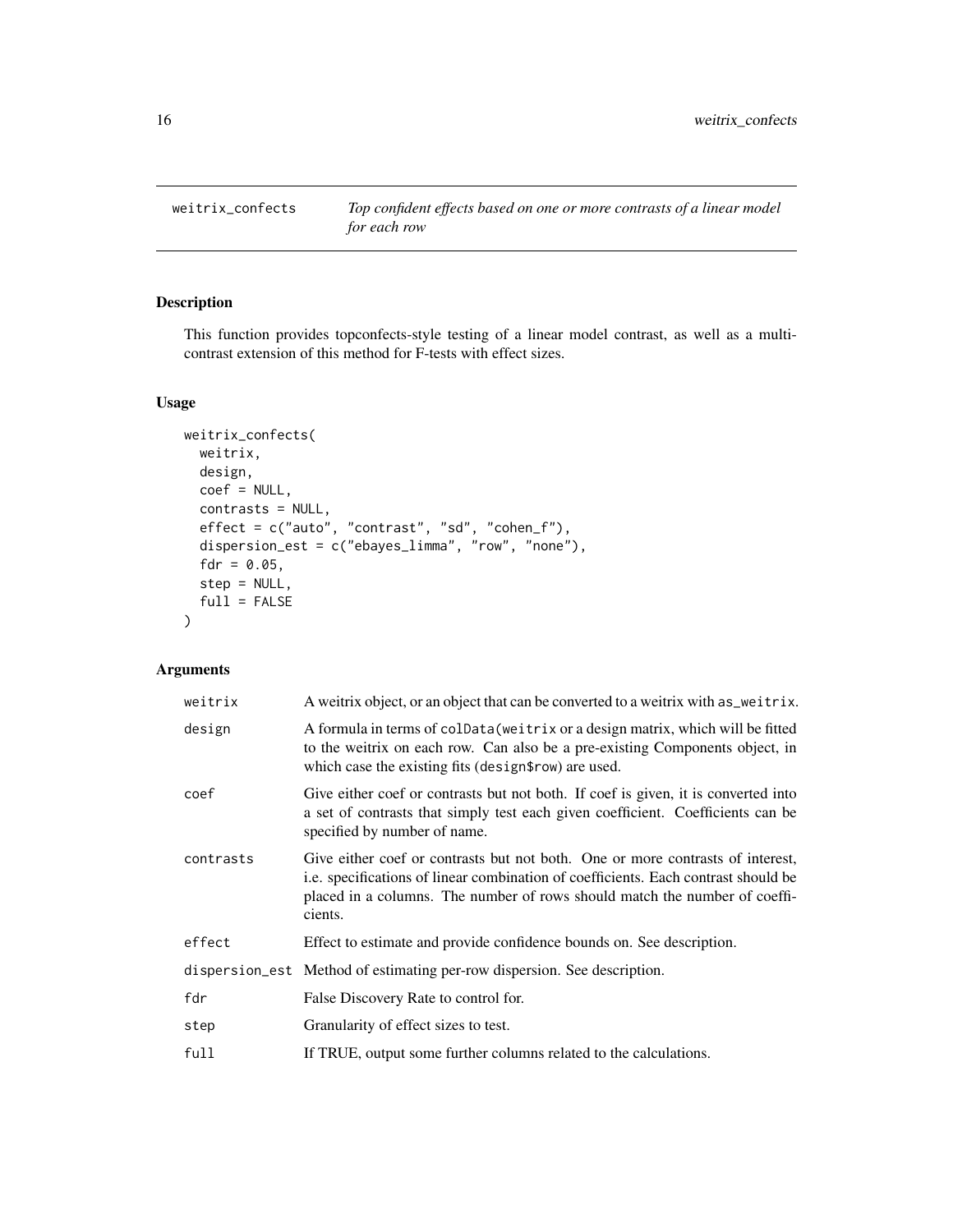<span id="page-15-0"></span>weitrix\_confects *Top confident effects based on one or more contrasts of a linear model for each row*

# Description

This function provides topconfects-style testing of a linear model contrast, as well as a multicontrast extension of this method for F-tests with effect sizes.

# Usage

```
weitrix_confects(
  weitrix,
  design,
  coef = NULL,
  contrasts = NULL,
  effect = c("auto", "contrast", "sd", "cohen_f"),
  dispersion_est = c("ebayes_limma", "row", "none"),
  fdr = 0.05,
  step = NULL,
  full = FALSE\mathcal{L}
```

| weitrix   | A weitrix object, or an object that can be converted to a weitrix with as veitrix.                                                                                                                                                                            |
|-----------|---------------------------------------------------------------------------------------------------------------------------------------------------------------------------------------------------------------------------------------------------------------|
| design    | A formula in terms of coldata (weitrix or a design matrix, which will be fitted<br>to the weitrix on each row. Can also be a pre-existing Components object, in<br>which case the existing fits (design frow) are used.                                       |
| coef      | Give either coef or contrasts but not both. If coef is given, it is converted into<br>a set of contrasts that simply test each given coefficient. Coefficients can be<br>specified by number of name.                                                         |
| contrasts | Give either coef or contrasts but not both. One or more contrasts of interest,<br>i.e. specifications of linear combination of coefficients. Each contrast should be<br>placed in a columns. The number of rows should match the number of coeffi-<br>cients. |
| effect    | Effect to estimate and provide confidence bounds on. See description.                                                                                                                                                                                         |
|           | dispersion_est Method of estimating per-row dispersion. See description.                                                                                                                                                                                      |
| fdr       | False Discovery Rate to control for.                                                                                                                                                                                                                          |
| step      | Granularity of effect sizes to test.                                                                                                                                                                                                                          |
| full      | If TRUE, output some further columns related to the calculations.                                                                                                                                                                                             |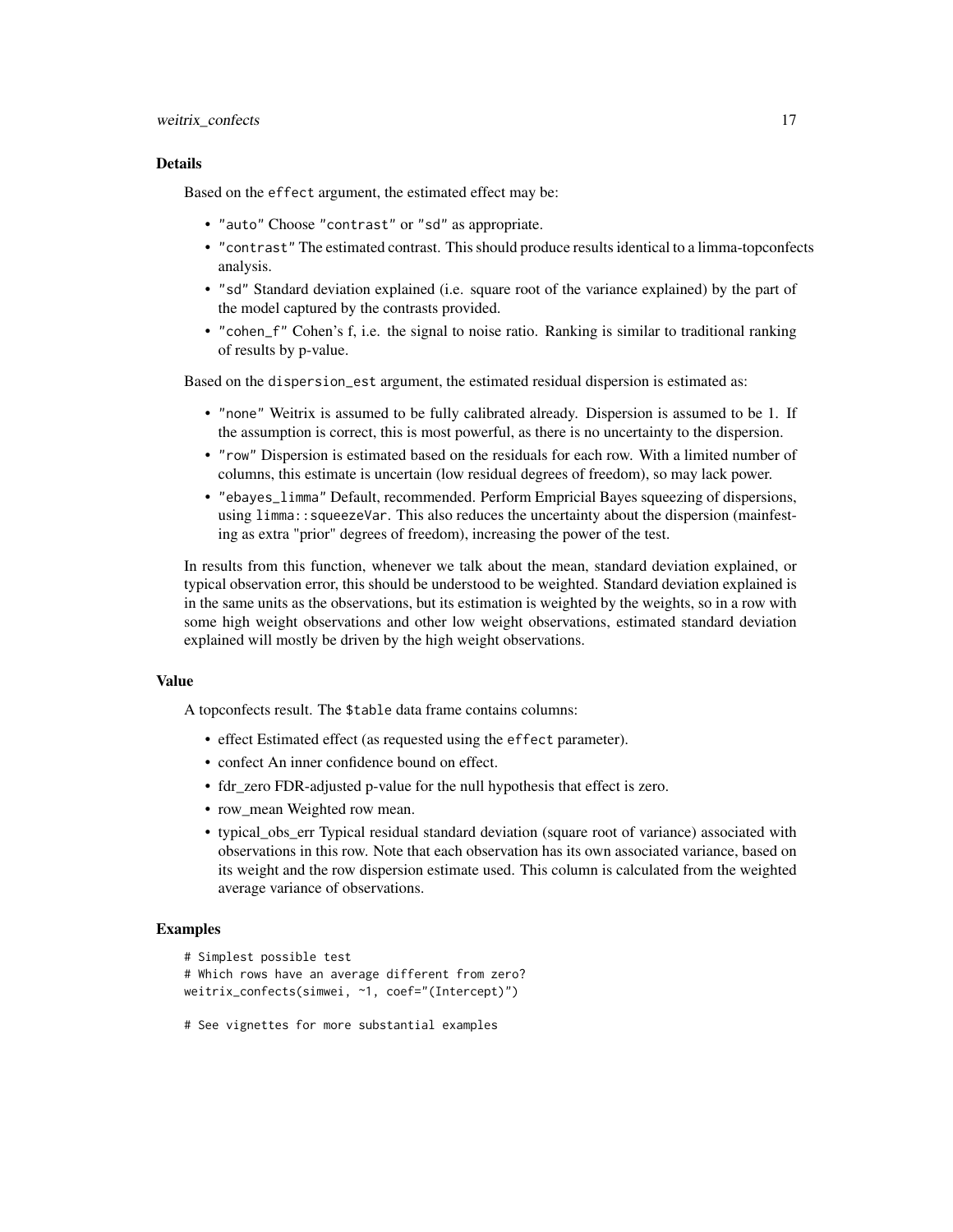#### weitrix\_confects 17

#### Details

Based on the effect argument, the estimated effect may be:

- "auto" Choose "contrast" or "sd" as appropriate.
- "contrast" The estimated contrast. This should produce results identical to a limma-topconfects analysis.
- "sd" Standard deviation explained (i.e. square root of the variance explained) by the part of the model captured by the contrasts provided.
- "cohen\_f" Cohen's f, i.e. the signal to noise ratio. Ranking is similar to traditional ranking of results by p-value.

Based on the dispersion\_est argument, the estimated residual dispersion is estimated as:

- "none" Weitrix is assumed to be fully calibrated already. Dispersion is assumed to be 1. If the assumption is correct, this is most powerful, as there is no uncertainty to the dispersion.
- "row" Dispersion is estimated based on the residuals for each row. With a limited number of columns, this estimate is uncertain (low residual degrees of freedom), so may lack power.
- "ebayes\_limma" Default, recommended. Perform Empricial Bayes squeezing of dispersions, using limma:: squeezeVar. This also reduces the uncertainty about the dispersion (mainfesting as extra "prior" degrees of freedom), increasing the power of the test.

In results from this function, whenever we talk about the mean, standard deviation explained, or typical observation error, this should be understood to be weighted. Standard deviation explained is in the same units as the observations, but its estimation is weighted by the weights, so in a row with some high weight observations and other low weight observations, estimated standard deviation explained will mostly be driven by the high weight observations.

#### Value

A topconfects result. The \$table data frame contains columns:

- effect Estimated effect (as requested using the effect parameter).
- confect An inner confidence bound on effect.
- fdr\_zero FDR-adjusted p-value for the null hypothesis that effect is zero.
- row mean Weighted row mean.
- typical obs err Typical residual standard deviation (square root of variance) associated with observations in this row. Note that each observation has its own associated variance, based on its weight and the row dispersion estimate used. This column is calculated from the weighted average variance of observations.

# Examples

```
# Simplest possible test
```

```
# Which rows have an average different from zero?
weitrix_confects(simwei, ~1, coef="(Intercept)")
```
# See vignettes for more substantial examples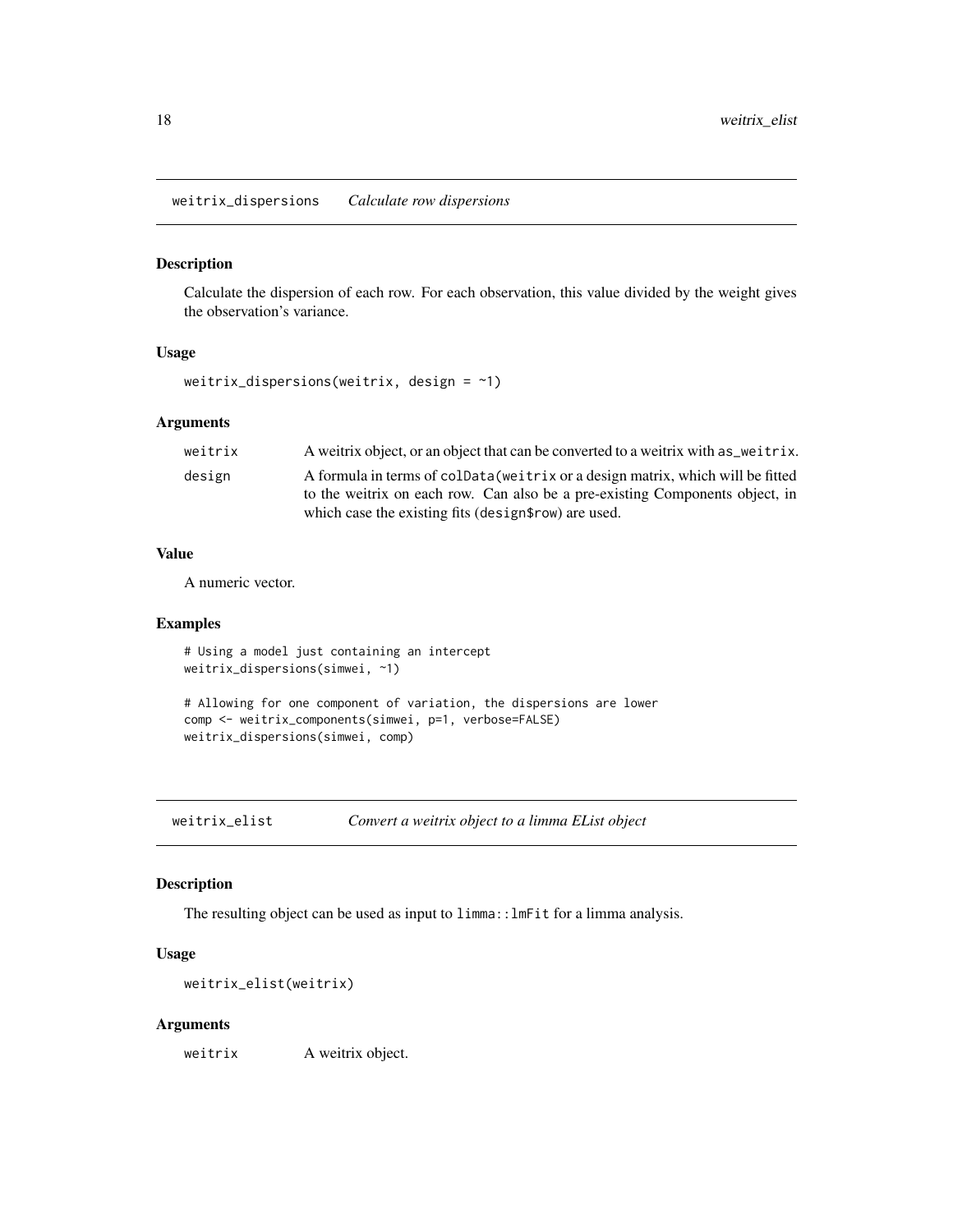<span id="page-17-0"></span>weitrix\_dispersions *Calculate row dispersions*

# Description

Calculate the dispersion of each row. For each observation, this value divided by the weight gives the observation's variance.

# Usage

```
weitrix_dispersions(weitrix, design = \sim1)
```
#### Arguments

| weitrix | A weitrix object, or an object that can be converted to a weitrix with as weitrix.                                                                              |
|---------|-----------------------------------------------------------------------------------------------------------------------------------------------------------------|
| design  | A formula in terms of coldata (weitrix or a design matrix, which will be fitted<br>to the weitrix on each row. Can also be a pre-existing Components object, in |
|         | which case the existing fits (design \$row) are used.                                                                                                           |

#### Value

A numeric vector.

# Examples

```
# Using a model just containing an intercept
weitrix_dispersions(simwei, ~1)
# Allowing for one component of variation, the dispersions are lower
comp <- weitrix_components(simwei, p=1, verbose=FALSE)
weitrix_dispersions(simwei, comp)
```
weitrix\_elist *Convert a weitrix object to a limma EList object*

# Description

The resulting object can be used as input to limma::lmFit for a limma analysis.

#### Usage

```
weitrix_elist(weitrix)
```
#### Arguments

weitrix A weitrix object.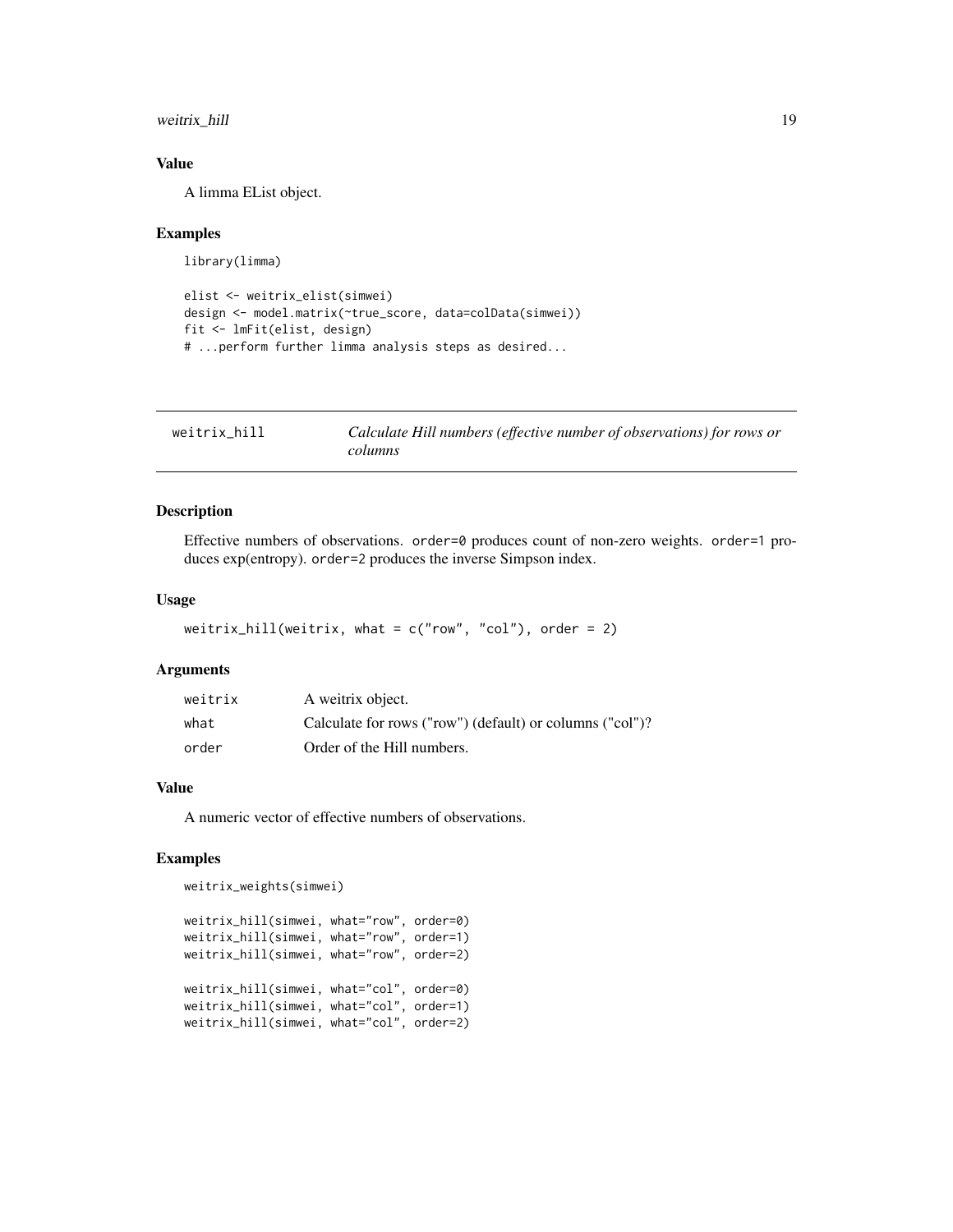<span id="page-18-0"></span>weitrix\_hill 19

# Value

A limma EList object.

#### Examples

library(limma)

```
elist <- weitrix_elist(simwei)
design <- model.matrix(~true_score, data=colData(simwei))
fit <- lmFit(elist, design)
# ...perform further limma analysis steps as desired...
```

| weitrix hill | Calculate Hill numbers (effective number of observations) for rows or |
|--------------|-----------------------------------------------------------------------|
|              | columns                                                               |

# Description

Effective numbers of observations. order=0 produces count of non-zero weights. order=1 produces exp(entropy). order=2 produces the inverse Simpson index.

# Usage

```
weitrix_hill(weitrix, what = c("row", "col"), order = 2)
```
# Arguments

| weitrix | A weitrix object.                                        |
|---------|----------------------------------------------------------|
| what    | Calculate for rows ("row") (default) or columns ("col")? |
| order   | Order of the Hill numbers.                               |

#### Value

A numeric vector of effective numbers of observations.

#### Examples

```
weitrix_weights(simwei)
```

```
weitrix_hill(simwei, what="row", order=0)
weitrix_hill(simwei, what="row", order=1)
weitrix_hill(simwei, what="row", order=2)
weitrix_hill(simwei, what="col", order=0)
weitrix_hill(simwei, what="col", order=1)
weitrix_hill(simwei, what="col", order=2)
```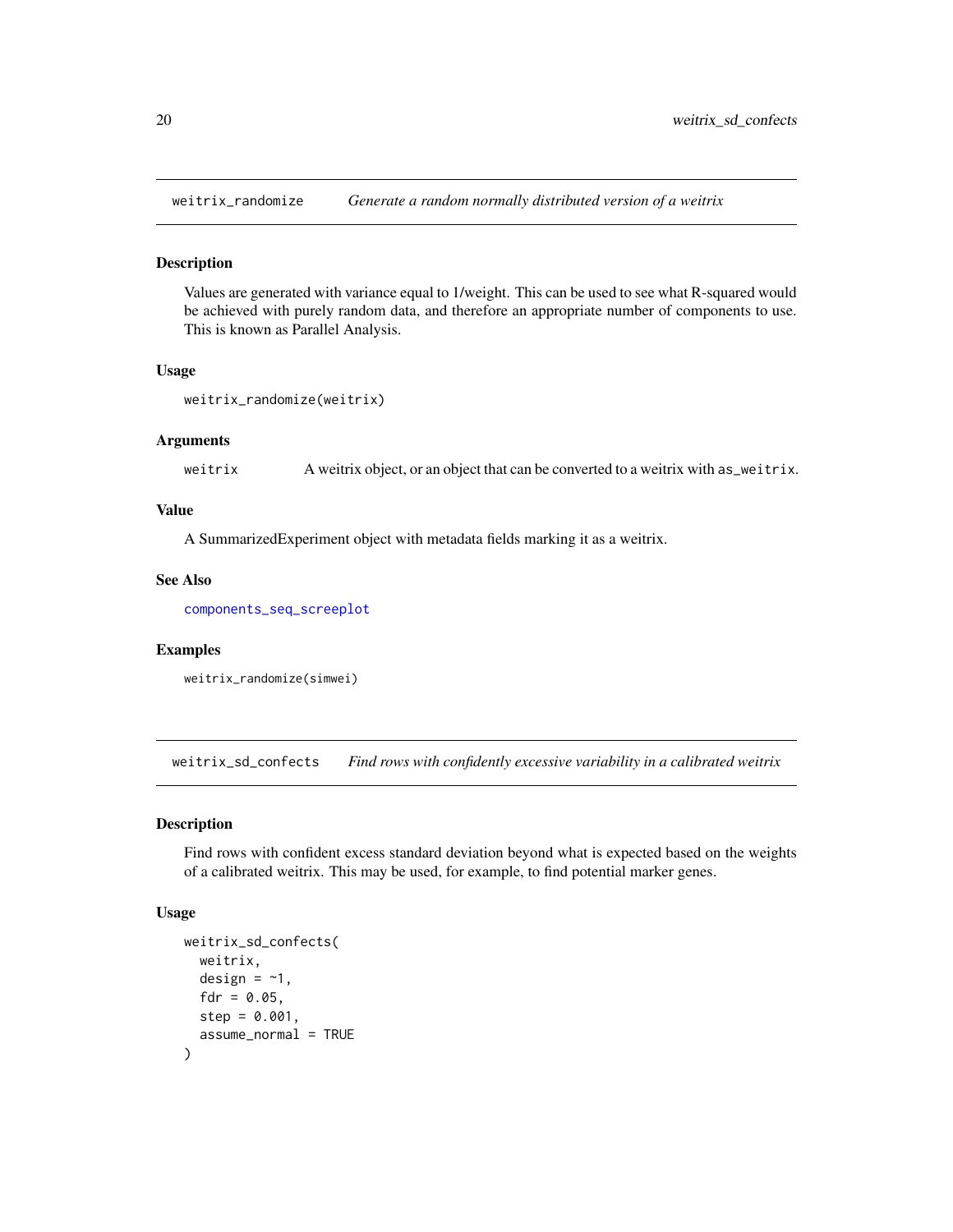<span id="page-19-0"></span>

#### Description

Values are generated with variance equal to 1/weight. This can be used to see what R-squared would be achieved with purely random data, and therefore an appropriate number of components to use. This is known as Parallel Analysis.

#### Usage

```
weitrix_randomize(weitrix)
```
#### Arguments

weitrix A weitrix object, or an object that can be converted to a weitrix with as\_weitrix.

# Value

A SummarizedExperiment object with metadata fields marking it as a weitrix.

# See Also

[components\\_seq\\_screeplot](#page-3-1)

# Examples

```
weitrix_randomize(simwei)
```
weitrix\_sd\_confects *Find rows with confidently excessive variability in a calibrated weitrix*

#### Description

Find rows with confident excess standard deviation beyond what is expected based on the weights of a calibrated weitrix. This may be used, for example, to find potential marker genes.

#### Usage

```
weitrix_sd_confects(
  weitrix,
  design = -1,
  fdr = 0.05,
  step = 0.001,assume_normal = TRUE
)
```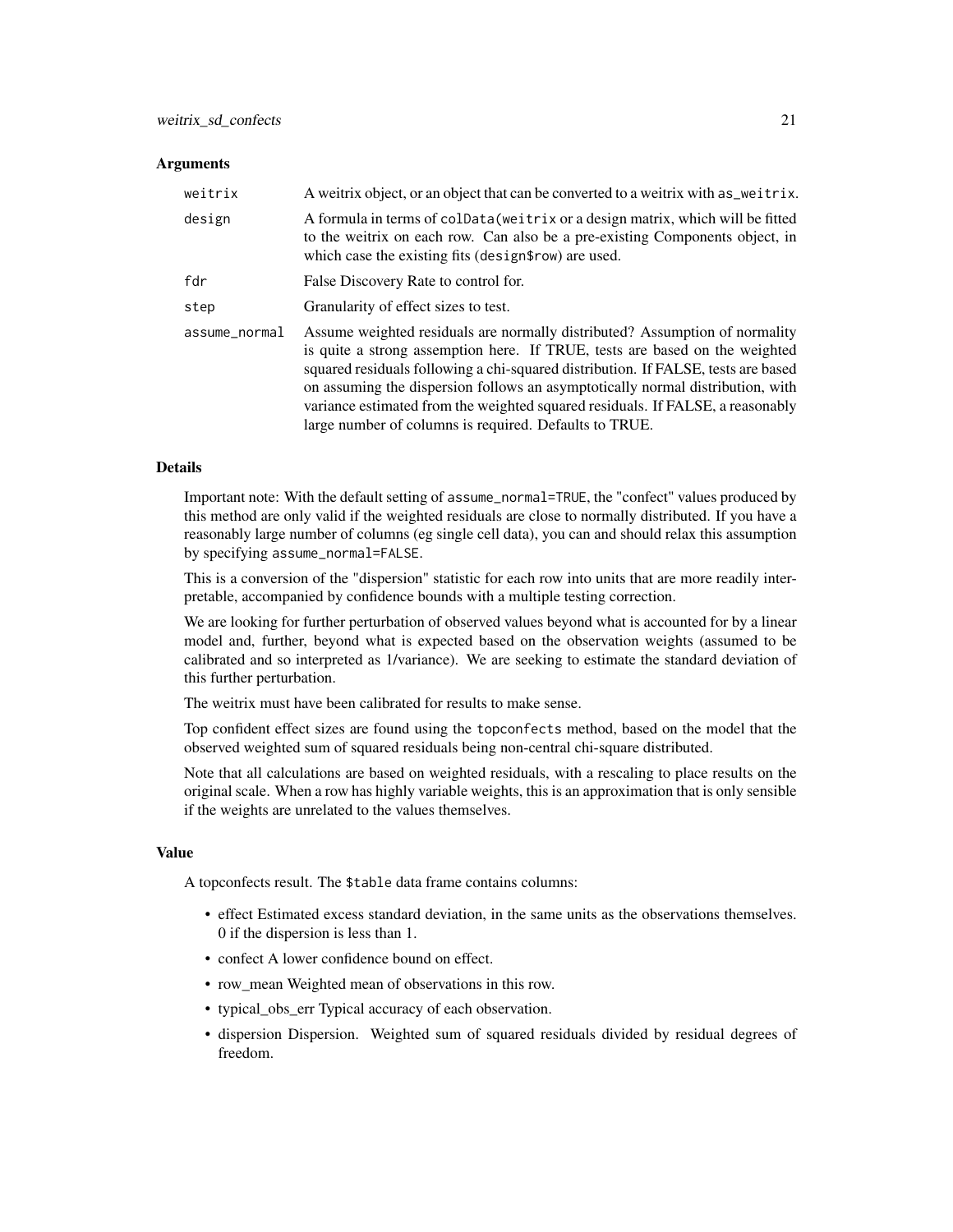#### **Arguments**

| weitrix       | A weitrix object, or an object that can be converted to a weitrix with as veitrix.                                                                                                                                                                                                                                                                                                                                                                                            |
|---------------|-------------------------------------------------------------------------------------------------------------------------------------------------------------------------------------------------------------------------------------------------------------------------------------------------------------------------------------------------------------------------------------------------------------------------------------------------------------------------------|
| design        | A formula in terms of colData (weitrix or a design matrix, which will be fitted<br>to the weitrix on each row. Can also be a pre-existing Components object, in<br>which case the existing fits (design frow) are used.                                                                                                                                                                                                                                                       |
| fdr           | False Discovery Rate to control for.                                                                                                                                                                                                                                                                                                                                                                                                                                          |
| step          | Granularity of effect sizes to test.                                                                                                                                                                                                                                                                                                                                                                                                                                          |
| assume_normal | Assume weighted residuals are normally distributed? Assumption of normality<br>is quite a strong assemption here. If TRUE, tests are based on the weighted<br>squared residuals following a chi-squared distribution. If FALSE, tests are based<br>on assuming the dispersion follows an asymptotically normal distribution, with<br>variance estimated from the weighted squared residuals. If FALSE, a reasonably<br>large number of columns is required. Defaults to TRUE. |

#### Details

Important note: With the default setting of assume\_normal=TRUE, the "confect" values produced by this method are only valid if the weighted residuals are close to normally distributed. If you have a reasonably large number of columns (eg single cell data), you can and should relax this assumption by specifying assume\_normal=FALSE.

This is a conversion of the "dispersion" statistic for each row into units that are more readily interpretable, accompanied by confidence bounds with a multiple testing correction.

We are looking for further perturbation of observed values beyond what is accounted for by a linear model and, further, beyond what is expected based on the observation weights (assumed to be calibrated and so interpreted as 1/variance). We are seeking to estimate the standard deviation of this further perturbation.

The weitrix must have been calibrated for results to make sense.

Top confident effect sizes are found using the topconfects method, based on the model that the observed weighted sum of squared residuals being non-central chi-square distributed.

Note that all calculations are based on weighted residuals, with a rescaling to place results on the original scale. When a row has highly variable weights, this is an approximation that is only sensible if the weights are unrelated to the values themselves.

#### Value

A topconfects result. The \$table data frame contains columns:

- effect Estimated excess standard deviation, in the same units as the observations themselves. 0 if the dispersion is less than 1.
- confect A lower confidence bound on effect.
- row\_mean Weighted mean of observations in this row.
- typical\_obs\_err Typical accuracy of each observation.
- dispersion Dispersion. Weighted sum of squared residuals divided by residual degrees of freedom.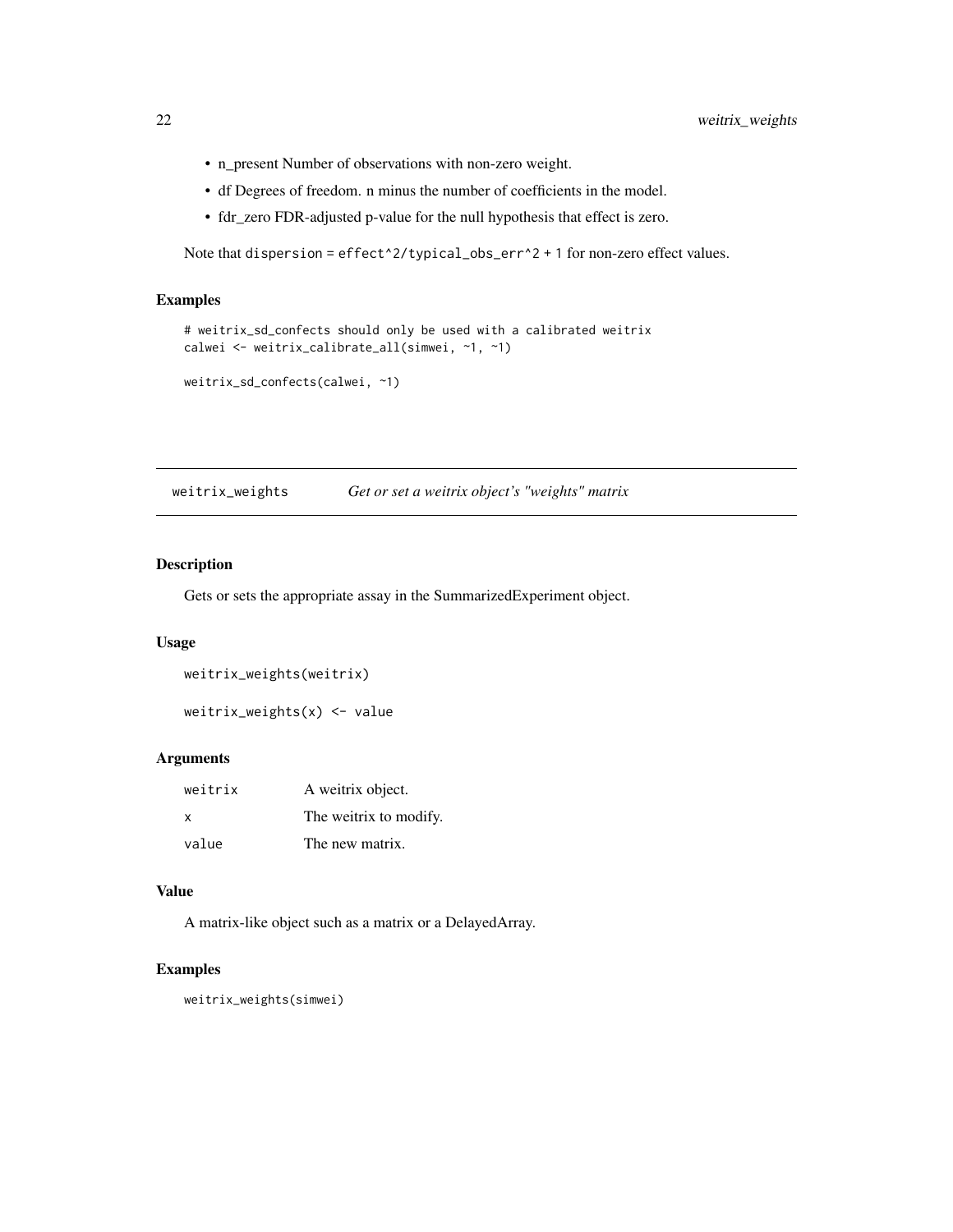- n\_present Number of observations with non-zero weight.
- df Degrees of freedom. n minus the number of coefficients in the model.
- fdr\_zero FDR-adjusted p-value for the null hypothesis that effect is zero.

Note that dispersion = effect^2/typical\_obs\_err^2 + 1 for non-zero effect values.

# Examples

```
# weitrix_sd_confects should only be used with a calibrated weitrix
calwei <- weitrix_calibrate_all(simwei, ~1, ~1)
```

```
weitrix_sd_confects(calwei, ~1)
```
weitrix\_weights *Get or set a weitrix object's "weights" matrix*

# Description

Gets or sets the appropriate assay in the SummarizedExperiment object.

# Usage

```
weitrix_weights(weitrix)
```
weitrix\_weights(x) <- value

#### Arguments

| weitrix | A weitrix object.      |
|---------|------------------------|
| X       | The weitrix to modify. |
| value   | The new matrix.        |

#### Value

A matrix-like object such as a matrix or a DelayedArray.

# Examples

weitrix\_weights(simwei)

<span id="page-21-0"></span>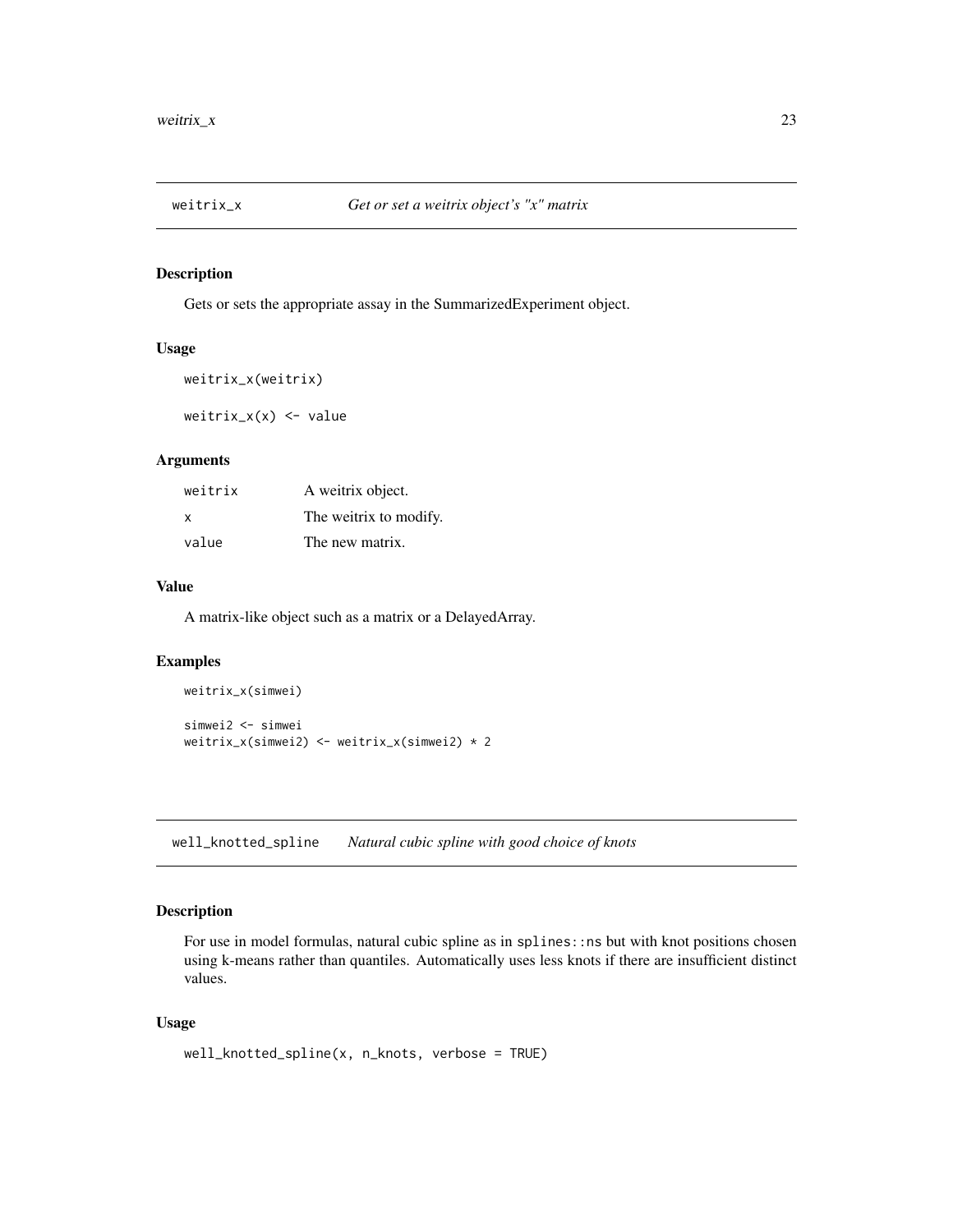<span id="page-22-0"></span>

# Description

Gets or sets the appropriate assay in the SummarizedExperiment object.

#### Usage

```
weitrix_x(weitrix)
```
weitrix\_x(x) <- value

# Arguments

| weitrix | A weitrix object.      |
|---------|------------------------|
| X       | The weitrix to modify. |
| value   | The new matrix.        |

#### Value

A matrix-like object such as a matrix or a DelayedArray.

# Examples

```
weitrix_x(simwei)
simwei2 <- simwei
weitrix_x(simwei2) <- weitrix_x(simwei2) * 2
```
well\_knotted\_spline *Natural cubic spline with good choice of knots*

# Description

For use in model formulas, natural cubic spline as in splines: : ns but with knot positions chosen using k-means rather than quantiles. Automatically uses less knots if there are insufficient distinct values.

#### Usage

```
well_knotted_spline(x, n_knots, verbose = TRUE)
```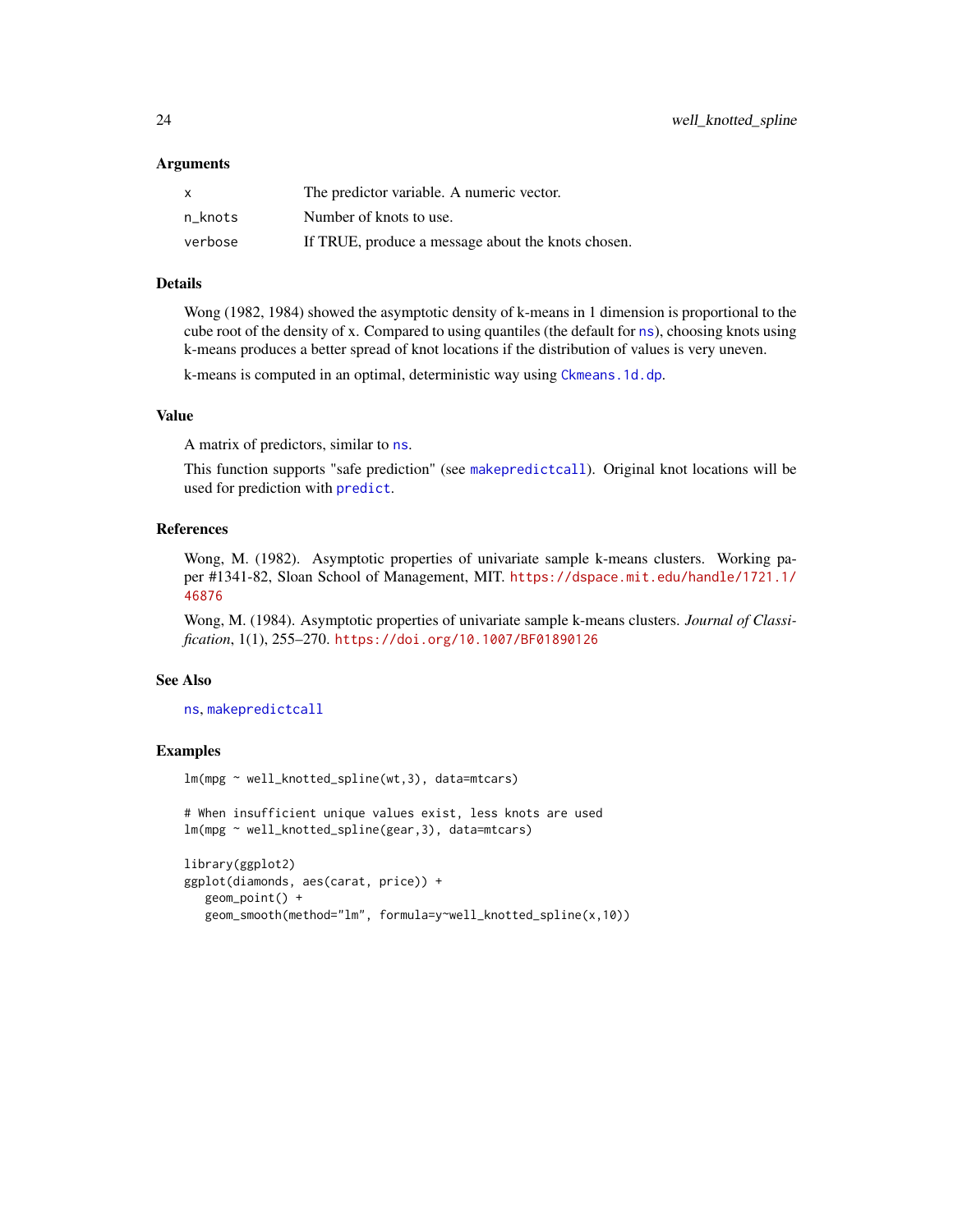#### <span id="page-23-0"></span>Arguments

| X       | The predictor variable. A numeric vector.          |
|---------|----------------------------------------------------|
| n knots | Number of knots to use.                            |
| verbose | If TRUE, produce a message about the knots chosen. |

#### Details

Wong (1982, 1984) showed the asymptotic density of k-means in 1 dimension is proportional to the cube root of the density of x. Compared to using quantiles (the default for [ns](#page-0-0)), choosing knots using k-means produces a better spread of knot locations if the distribution of values is very uneven.

k-means is computed in an optimal, deterministic way using [Ckmeans.1d.dp](#page-0-0).

#### Value

A matrix of predictors, similar to [ns](#page-0-0).

This function supports "safe prediction" (see [makepredictcall](#page-0-0)). Original knot locations will be used for prediction with [predict](#page-0-0).

#### References

Wong, M. (1982). Asymptotic properties of univariate sample k-means clusters. Working paper #1341-82, Sloan School of Management, MIT. [https://dspace.mit.edu/handle/1721.1/](https://dspace.mit.edu/handle/1721.1/46876) [46876](https://dspace.mit.edu/handle/1721.1/46876)

Wong, M. (1984). Asymptotic properties of univariate sample k-means clusters. *Journal of Classification*, 1(1), 255–270. <https://doi.org/10.1007/BF01890126>

#### See Also

[ns](#page-0-0), [makepredictcall](#page-0-0)

#### Examples

lm(mpg ~ well\_knotted\_spline(wt,3), data=mtcars)

# When insufficient unique values exist, less knots are used lm(mpg ~ well\_knotted\_spline(gear,3), data=mtcars)

```
library(ggplot2)
ggplot(diamonds, aes(carat, price)) +
  geom_point() +
   geom_smooth(method="lm", formula=y~well_knotted_spline(x,10))
```